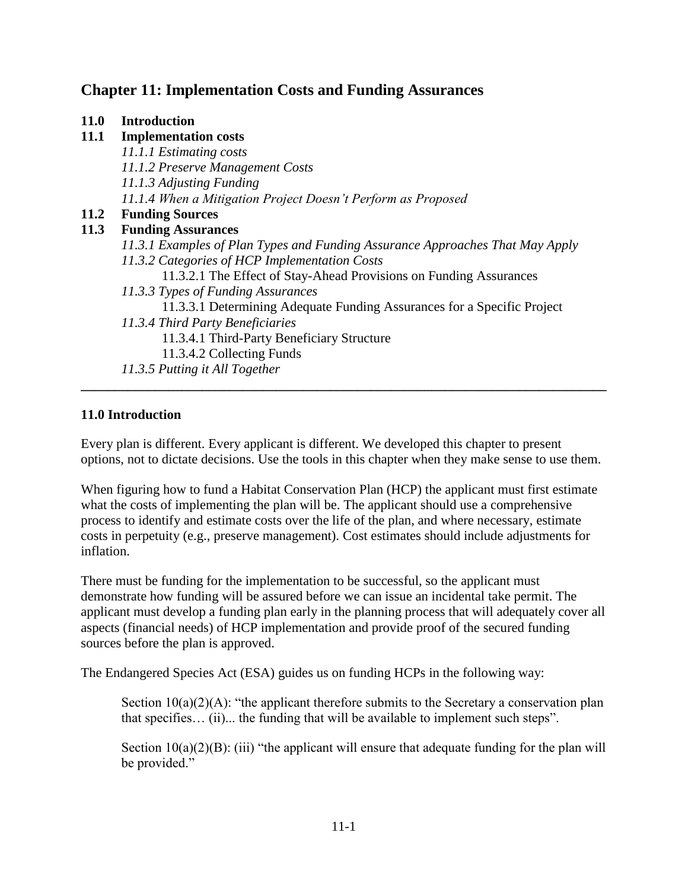# **Chapter 11: Implementation Costs and Funding Assurances**

#### **11.0 Introduction**

### **11.1 Implementation costs**

*11.1.1 Estimating costs 11.1.2 Preserve Management Costs 11.1.3 Adjusting Funding 11.1.4 When a Mitigation Project Doesn't Perform as Proposed* **11.2 Funding Sources 11.3 Funding Assurances** *11.3.1 Examples of Plan Types and Funding Assurance Approaches That May Apply 11.3.2 Categories of HCP Implementation Costs* 11.3.2.1 The Effect of Stay-Ahead Provisions on Funding Assurances *11.3.3 Types of Funding Assurances* 11.3.3.1 Determining Adequate Funding Assurances for a Specific Project *11.3.4 Third Party Beneficiaries* 11.3.4.1 Third-Party Beneficiary Structure 11.3.4.2 Collecting Funds *11.3.5 Putting it All Together*

### **11.0 Introduction**

Every plan is different. Every applicant is different. We developed this chapter to present options, not to dictate decisions. Use the tools in this chapter when they make sense to use them.

**\_\_\_\_\_\_\_\_\_\_\_\_\_\_\_\_\_\_\_\_\_\_\_\_\_\_\_\_\_\_\_\_\_\_\_\_\_\_\_\_\_\_\_\_\_\_\_\_\_\_\_\_\_\_\_\_\_\_\_\_\_\_\_\_\_\_\_\_\_\_\_\_\_\_\_\_\_\_**

When figuring how to fund a Habitat Conservation Plan (HCP) the applicant must first estimate what the costs of implementing the plan will be. The applicant should use a comprehensive process to identify and estimate costs over the life of the plan, and where necessary, estimate costs in perpetuity (e.g., preserve management). Cost estimates should include adjustments for inflation.

There must be funding for the implementation to be successful, so the applicant must demonstrate how funding will be assured before we can issue an incidental take permit. The applicant must develop a funding plan early in the planning process that will adequately cover all aspects (financial needs) of HCP implementation and provide proof of the secured funding sources before the plan is approved.

The Endangered Species Act (ESA) guides us on funding HCPs in the following way:

Section  $10(a)(2)(A)$ : "the applicant therefore submits to the Secretary a conservation plan that specifies… (ii)... the funding that will be available to implement such steps".

Section  $10(a)(2)(B)$ : (iii) "the applicant will ensure that adequate funding for the plan will be provided."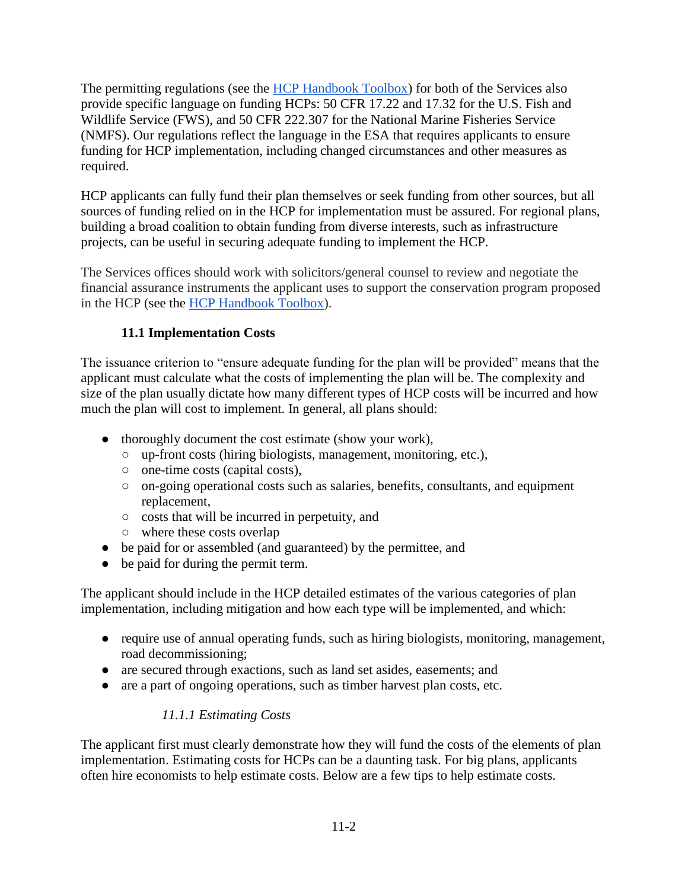The permitting regulations (see the [HCP Handbook Toolbox\)](https://www.fws.gov/endangered/what-we-do/hcp-handbook-toolbox.html#Ch11) for both of the Services also provide specific language on funding HCPs: 50 CFR 17.22 and 17.32 for the U.S. Fish and Wildlife Service (FWS), and 50 CFR 222.307 for the National Marine Fisheries Service (NMFS). Our regulations reflect the language in the ESA that requires applicants to ensure funding for HCP implementation, including changed circumstances and other measures as required.

HCP applicants can fully fund their plan themselves or seek funding from other sources, but all sources of funding relied on in the HCP for implementation must be assured. For regional plans, building a broad coalition to obtain funding from diverse interests, such as infrastructure projects, can be useful in securing adequate funding to implement the HCP.

The Services offices should work with solicitors/general counsel to review and negotiate the financial assurance instruments the applicant uses to support the conservation program proposed in the HCP (see the [HCP Handbook Toolbox\)](https://www.fws.gov/endangered/what-we-do/hcp-handbook-toolbox.html#Ch11).

# **11.1 Implementation Costs**

The issuance criterion to "ensure adequate funding for the plan will be provided" means that the applicant must calculate what the costs of implementing the plan will be. The complexity and size of the plan usually dictate how many different types of HCP costs will be incurred and how much the plan will cost to implement. In general, all plans should:

- thoroughly document the cost estimate (show your work),
	- up-front costs (hiring biologists, management, monitoring, etc.),
	- one-time costs (capital costs),
	- on-going operational costs such as salaries, benefits, consultants, and equipment replacement,
	- costs that will be incurred in perpetuity, and
	- where these costs overlap
- be paid for or assembled (and guaranteed) by the permittee, and
- be paid for during the permit term.

The applicant should include in the HCP detailed estimates of the various categories of plan implementation, including mitigation and how each type will be implemented, and which:

- require use of annual operating funds, such as hiring biologists, monitoring, management, road decommissioning;
- are secured through exactions, such as land set asides, easements; and
- are a part of ongoing operations, such as timber harvest plan costs, etc.

# *11.1.1 Estimating Costs*

The applicant first must clearly demonstrate how they will fund the costs of the elements of plan implementation. Estimating costs for HCPs can be a daunting task. For big plans, applicants often hire economists to help estimate costs. Below are a few tips to help estimate costs.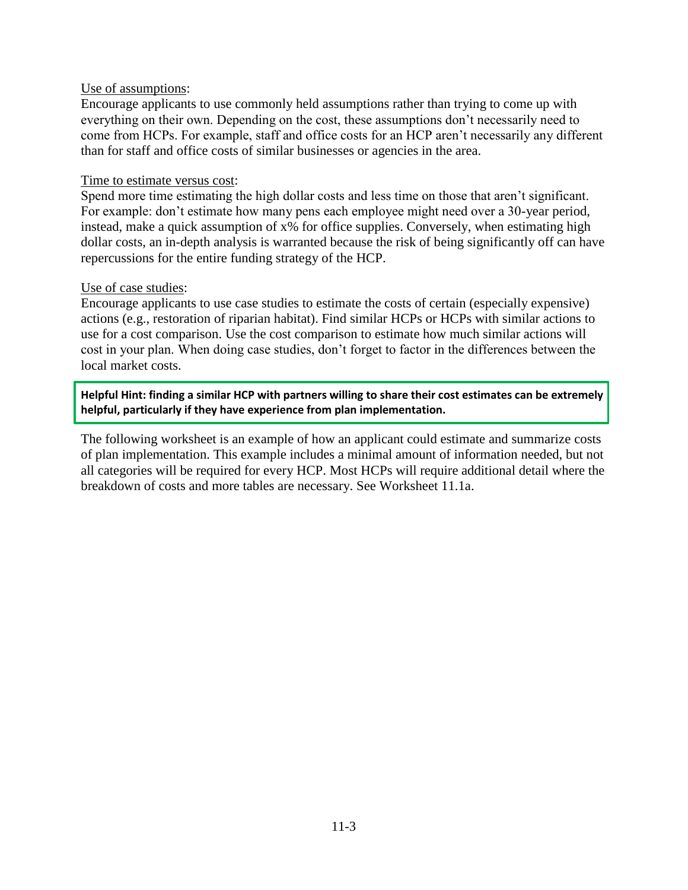#### Use of assumptions:

Encourage applicants to use commonly held assumptions rather than trying to come up with everything on their own. Depending on the cost, these assumptions don't necessarily need to come from HCPs. For example, staff and office costs for an HCP aren't necessarily any different than for staff and office costs of similar businesses or agencies in the area.

#### Time to estimate versus cost:

Spend more time estimating the high dollar costs and less time on those that aren't significant. For example: don't estimate how many pens each employee might need over a 30-year period, instead, make a quick assumption of x% for office supplies. Conversely, when estimating high dollar costs, an in-depth analysis is warranted because the risk of being significantly off can have repercussions for the entire funding strategy of the HCP.

#### Use of case studies:

Encourage applicants to use case studies to estimate the costs of certain (especially expensive) actions (e.g., restoration of riparian habitat). Find similar HCPs or HCPs with similar actions to use for a cost comparison. Use the cost comparison to estimate how much similar actions will cost in your plan. When doing case studies, don't forget to factor in the differences between the local market costs.

**Helpful Hint: finding a similar HCP with partners willing to share their cost estimates can be extremely helpful, particularly if they have experience from plan implementation.** 

The following worksheet is an example of how an applicant could estimate and summarize costs of plan implementation. This example includes a minimal amount of information needed, but not all categories will be required for every HCP. Most HCPs will require additional detail where the breakdown of costs and more tables are necessary. See Worksheet 11.1a.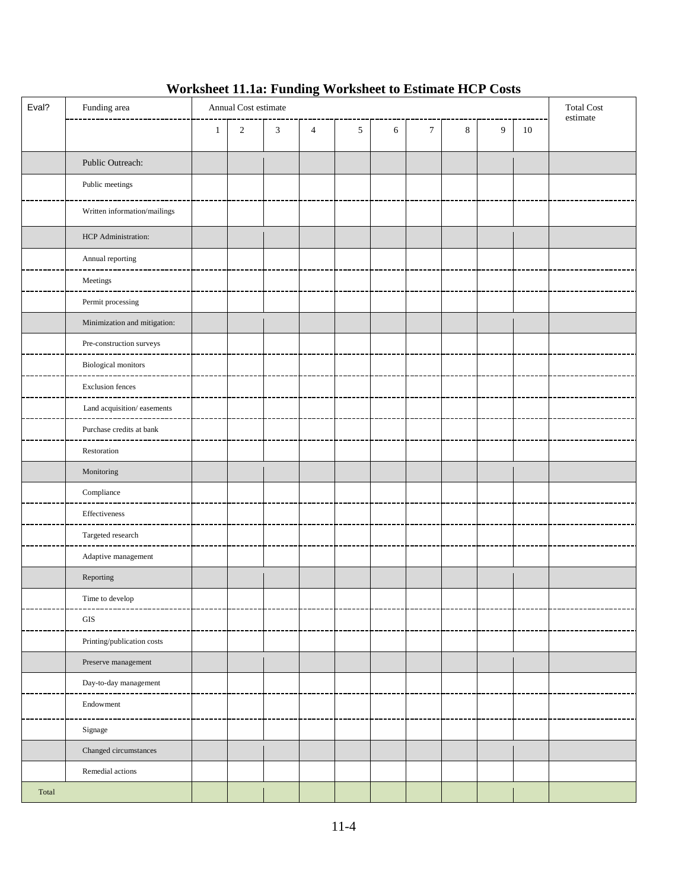# **Worksheet 11.1a: Funding Worksheet to Estimate HCP Costs**

| Eval? | Funding area                              | Annual Cost estimate |            |                |                |   |            | <b>Total Cost</b><br>estimate |   |   |    |  |
|-------|-------------------------------------------|----------------------|------------|----------------|----------------|---|------------|-------------------------------|---|---|----|--|
|       |                                           | $\mathbf{1}$         | $\sqrt{2}$ | $\mathfrak{Z}$ | $\overline{4}$ | 5 | $\sqrt{6}$ | $\boldsymbol{7}$              | 8 | 9 | 10 |  |
|       | Public Outreach:                          |                      |            |                |                |   |            |                               |   |   |    |  |
|       | Public meetings                           |                      |            |                |                |   |            |                               |   |   |    |  |
|       | Written information/mailings              |                      |            |                |                |   |            |                               |   |   |    |  |
|       | HCP Administration:                       |                      |            |                |                |   |            |                               |   |   |    |  |
|       | Annual reporting                          |                      |            |                |                |   |            |                               |   |   |    |  |
|       | $\label{eq:2} \textbf{Meetings}$          |                      |            |                |                |   |            |                               |   |   |    |  |
|       | Permit processing                         |                      |            |                |                |   |            |                               |   |   |    |  |
|       | Minimization and mitigation:              |                      |            |                |                |   |            |                               |   |   |    |  |
|       | Pre-construction surveys                  |                      |            |                |                |   |            |                               |   |   |    |  |
|       | <b>Biological monitors</b>                |                      |            |                |                |   |            |                               |   |   |    |  |
|       | <b>Exclusion fences</b>                   |                      |            |                |                |   |            |                               |   |   |    |  |
|       | Land acquisition/easements                |                      |            |                |                |   |            |                               |   |   |    |  |
|       | Purchase credits at bank                  |                      |            |                |                |   |            |                               |   |   |    |  |
|       | Restoration                               |                      |            |                |                |   |            |                               |   |   |    |  |
|       | $\textbf{Monitoring}$                     |                      |            |                |                |   |            |                               |   |   |    |  |
|       | $\label{eq:compliance} \text{Compliance}$ |                      |            |                |                |   |            |                               |   |   |    |  |
|       | Effectiveness                             |                      |            |                |                |   |            |                               |   |   |    |  |
|       | Targeted research                         |                      |            |                |                |   |            |                               |   |   |    |  |
|       | Adaptive management                       |                      |            |                |                |   |            |                               |   |   |    |  |
|       | Reporting                                 |                      |            |                |                |   |            |                               |   |   |    |  |
|       | Time to develop                           |                      |            |                |                |   |            |                               |   |   |    |  |
|       | $\rm{GIS}$                                |                      |            |                |                |   |            |                               |   |   |    |  |
|       | Printing/publication costs                |                      |            |                |                |   |            |                               |   |   |    |  |
|       | Preserve management                       |                      |            |                |                |   |            |                               |   |   |    |  |
|       | Day-to-day management<br>.______________  |                      |            |                |                |   |            |                               |   |   |    |  |
|       | Endowment                                 |                      |            |                |                |   |            |                               |   |   |    |  |
|       | Signage                                   |                      |            |                |                |   |            |                               |   |   |    |  |
|       | Changed circumstances                     |                      |            |                |                |   |            |                               |   |   |    |  |
|       | Remedial actions                          |                      |            |                |                |   |            |                               |   |   |    |  |
| Total |                                           |                      |            |                |                |   |            |                               |   |   |    |  |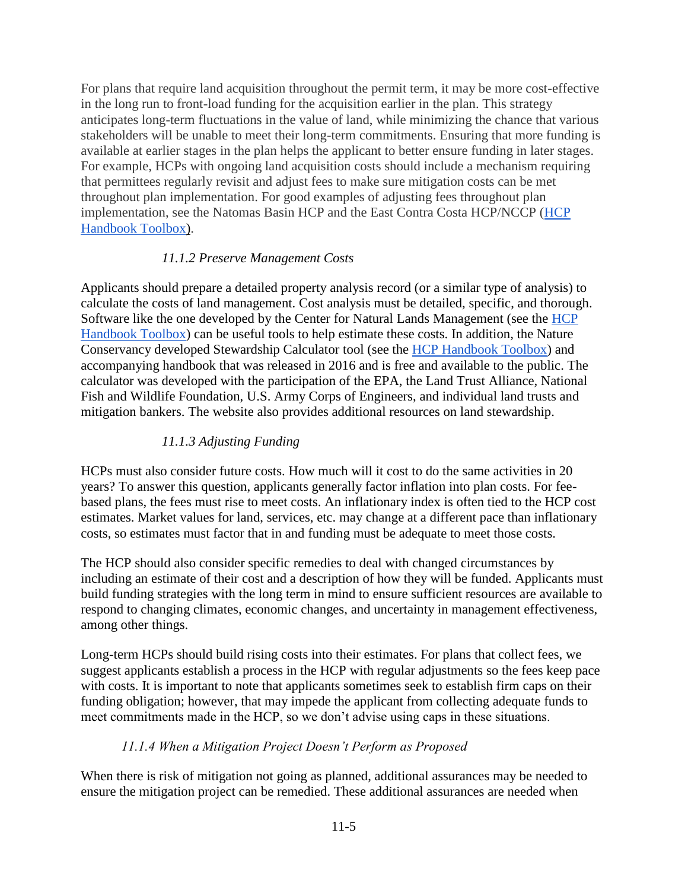For plans that require land acquisition throughout the permit term, it may be more cost-effective in the long run to front-load funding for the acquisition earlier in the plan. This strategy anticipates long-term fluctuations in the value of land, while minimizing the chance that various stakeholders will be unable to meet their long-term commitments. Ensuring that more funding is available at earlier stages in the plan helps the applicant to better ensure funding in later stages. For example, HCPs with ongoing land acquisition costs should include a mechanism requiring that permittees regularly revisit and adjust fees to make sure mitigation costs can be met throughout plan implementation. For good examples of adjusting fees throughout plan implementation, see the Natomas Basin HCP and the East Contra Costa HCP/NCCP [\(HCP](https://www.fws.gov/endangered/what-we-do/hcp-handbook-toolbox.html#Ch11)  [Handbook Toolbox\)](https://www.fws.gov/endangered/what-we-do/hcp-handbook-toolbox.html#Ch11).

### *11.1.2 Preserve Management Costs*

Applicants should prepare a detailed property analysis record (or a similar type of analysis) to calculate the costs of land management. Cost analysis must be detailed, specific, and thorough. Software like the one developed by the Center for Natural Lands Management (see the [HCP](https://www.fws.gov/endangered/what-we-do/hcp-handbook-toolbox.html#Ch11)  [Handbook Toolbox\)](https://www.fws.gov/endangered/what-we-do/hcp-handbook-toolbox.html#Ch11) can be useful tools to help estimate these costs. In addition, the Nature Conservancy developed Stewardship Calculator tool (see the [HCP Handbook Toolbox\)](https://www.fws.gov/endangered/what-we-do/hcp-handbook-toolbox.html#Ch11) and accompanying handbook that was released in 2016 and is free and available to the public. The calculator was developed with the participation of the EPA, the Land Trust Alliance, National Fish and Wildlife Foundation, U.S. Army Corps of Engineers, and individual land trusts and mitigation bankers. The website also provides additional resources on land stewardship.

# *11.1.3 Adjusting Funding*

HCPs must also consider future costs. How much will it cost to do the same activities in 20 years? To answer this question, applicants generally factor inflation into plan costs. For feebased plans, the fees must rise to meet costs. An inflationary index is often tied to the HCP cost estimates. Market values for land, services, etc. may change at a different pace than inflationary costs, so estimates must factor that in and funding must be adequate to meet those costs.

The HCP should also consider specific remedies to deal with changed circumstances by including an estimate of their cost and a description of how they will be funded. Applicants must build funding strategies with the long term in mind to ensure sufficient resources are available to respond to changing climates, economic changes, and uncertainty in management effectiveness, among other things.

Long-term HCPs should build rising costs into their estimates. For plans that collect fees, we suggest applicants establish a process in the HCP with regular adjustments so the fees keep pace with costs. It is important to note that applicants sometimes seek to establish firm caps on their funding obligation; however, that may impede the applicant from collecting adequate funds to meet commitments made in the HCP, so we don't advise using caps in these situations.

### *11.1.4 When a Mitigation Project Doesn't Perform as Proposed*

When there is risk of mitigation not going as planned, additional assurances may be needed to ensure the mitigation project can be remedied. These additional assurances are needed when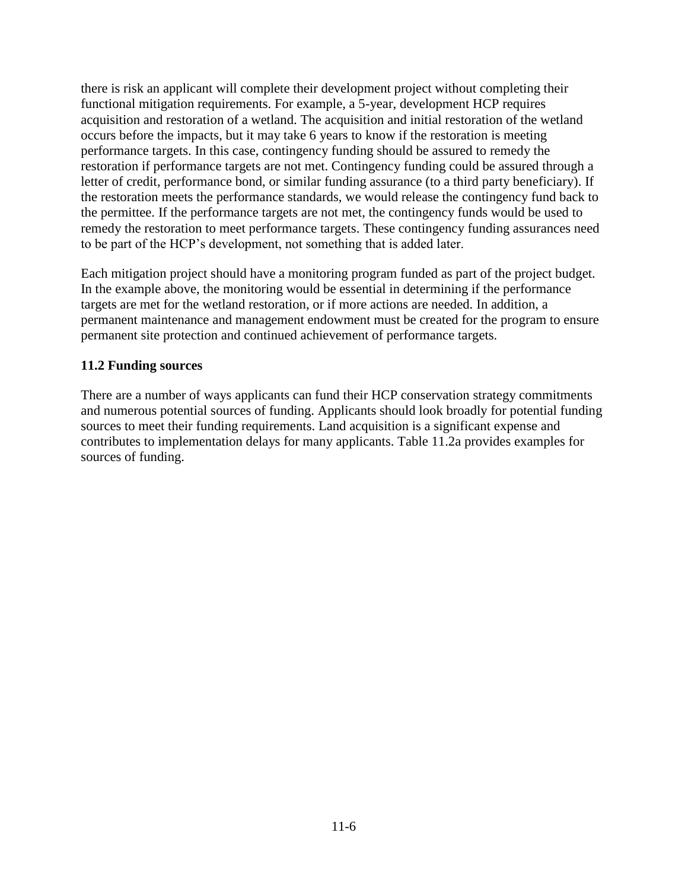there is risk an applicant will complete their development project without completing their functional mitigation requirements. For example, a 5-year, development HCP requires acquisition and restoration of a wetland. The acquisition and initial restoration of the wetland occurs before the impacts, but it may take 6 years to know if the restoration is meeting performance targets. In this case, contingency funding should be assured to remedy the restoration if performance targets are not met. Contingency funding could be assured through a letter of credit, performance bond, or similar funding assurance (to a third party beneficiary). If the restoration meets the performance standards, we would release the contingency fund back to the permittee. If the performance targets are not met, the contingency funds would be used to remedy the restoration to meet performance targets. These contingency funding assurances need to be part of the HCP's development, not something that is added later.

Each mitigation project should have a monitoring program funded as part of the project budget. In the example above, the monitoring would be essential in determining if the performance targets are met for the wetland restoration, or if more actions are needed. In addition, a permanent maintenance and management endowment must be created for the program to ensure permanent site protection and continued achievement of performance targets.

### **11.2 Funding sources**

There are a number of ways applicants can fund their HCP conservation strategy commitments and numerous potential sources of funding. Applicants should look broadly for potential funding sources to meet their funding requirements. Land acquisition is a significant expense and contributes to implementation delays for many applicants. Table 11.2a provides examples for sources of funding.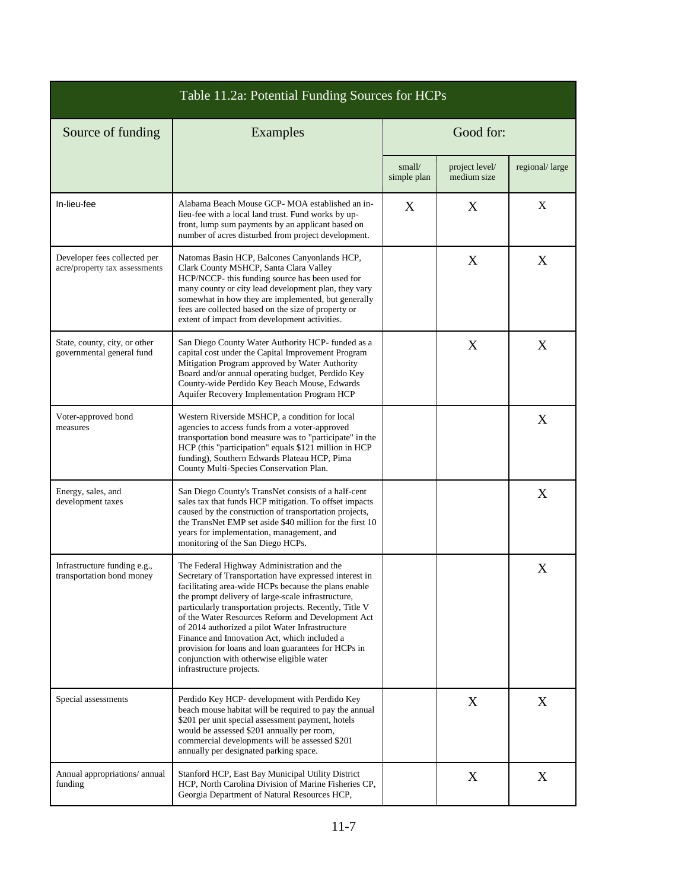| Table 11.2a: Potential Funding Sources for HCPs               |                                                                                                                                                                                                                                                                                                                                                                                                                                                                                                                                                                       |                       |                               |                |  |  |
|---------------------------------------------------------------|-----------------------------------------------------------------------------------------------------------------------------------------------------------------------------------------------------------------------------------------------------------------------------------------------------------------------------------------------------------------------------------------------------------------------------------------------------------------------------------------------------------------------------------------------------------------------|-----------------------|-------------------------------|----------------|--|--|
| Source of funding                                             | Examples                                                                                                                                                                                                                                                                                                                                                                                                                                                                                                                                                              | Good for:             |                               |                |  |  |
|                                                               |                                                                                                                                                                                                                                                                                                                                                                                                                                                                                                                                                                       | small/<br>simple plan | project level/<br>medium size | regional/large |  |  |
| In-lieu-fee                                                   | Alabama Beach Mouse GCP- MOA established an in-<br>lieu-fee with a local land trust. Fund works by up-<br>front, lump sum payments by an applicant based on<br>number of acres disturbed from project development.                                                                                                                                                                                                                                                                                                                                                    | X                     | X                             | X              |  |  |
| Developer fees collected per<br>acre/property tax assessments | Natomas Basin HCP, Balcones Canyonlands HCP,<br>Clark County MSHCP, Santa Clara Valley<br>HCP/NCCP- this funding source has been used for<br>many county or city lead development plan, they vary<br>somewhat in how they are implemented, but generally<br>fees are collected based on the size of property or<br>extent of impact from development activities.                                                                                                                                                                                                      |                       | X                             | X              |  |  |
| State, county, city, or other<br>governmental general fund    | San Diego County Water Authority HCP- funded as a<br>capital cost under the Capital Improvement Program<br>Mitigation Program approved by Water Authority<br>Board and/or annual operating budget, Perdido Key<br>County-wide Perdido Key Beach Mouse, Edwards<br>Aquifer Recovery Implementation Program HCP                                                                                                                                                                                                                                                         |                       | X                             | X              |  |  |
| Voter-approved bond<br>measures                               | Western Riverside MSHCP, a condition for local<br>agencies to access funds from a voter-approved<br>transportation bond measure was to "participate" in the<br>HCP (this "participation" equals \$121 million in HCP<br>funding), Southern Edwards Plateau HCP, Pima<br>County Multi-Species Conservation Plan.                                                                                                                                                                                                                                                       |                       |                               | X              |  |  |
| Energy, sales, and<br>development taxes                       | San Diego County's TransNet consists of a half-cent<br>sales tax that funds HCP mitigation. To offset impacts<br>caused by the construction of transportation projects,<br>the TransNet EMP set aside \$40 million for the first 10<br>years for implementation, management, and<br>monitoring of the San Diego HCPs.                                                                                                                                                                                                                                                 |                       |                               | X              |  |  |
| Infrastructure funding e.g.,<br>transportation bond money     | The Federal Highway Administration and the<br>Secretary of Transportation have expressed interest in<br>facilitating area-wide HCPs because the plans enable<br>the prompt delivery of large-scale infrastructure,<br>particularly transportation projects. Recently, Title V<br>of the Water Resources Reform and Development Act<br>of 2014 authorized a pilot Water Infrastructure<br>Finance and Innovation Act, which included a<br>provision for loans and loan guarantees for HCPs in<br>conjunction with otherwise eligible water<br>infrastructure projects. |                       |                               | X              |  |  |
| Special assessments                                           | Perdido Key HCP- development with Perdido Key<br>beach mouse habitat will be required to pay the annual<br>\$201 per unit special assessment payment, hotels<br>would be assessed \$201 annually per room,<br>commercial developments will be assessed \$201<br>annually per designated parking space.                                                                                                                                                                                                                                                                |                       | X                             | X              |  |  |
| Annual appropriations/ annual<br>funding                      | Stanford HCP, East Bay Municipal Utility District<br>HCP, North Carolina Division of Marine Fisheries CP,<br>Georgia Department of Natural Resources HCP,                                                                                                                                                                                                                                                                                                                                                                                                             |                       | X                             | X              |  |  |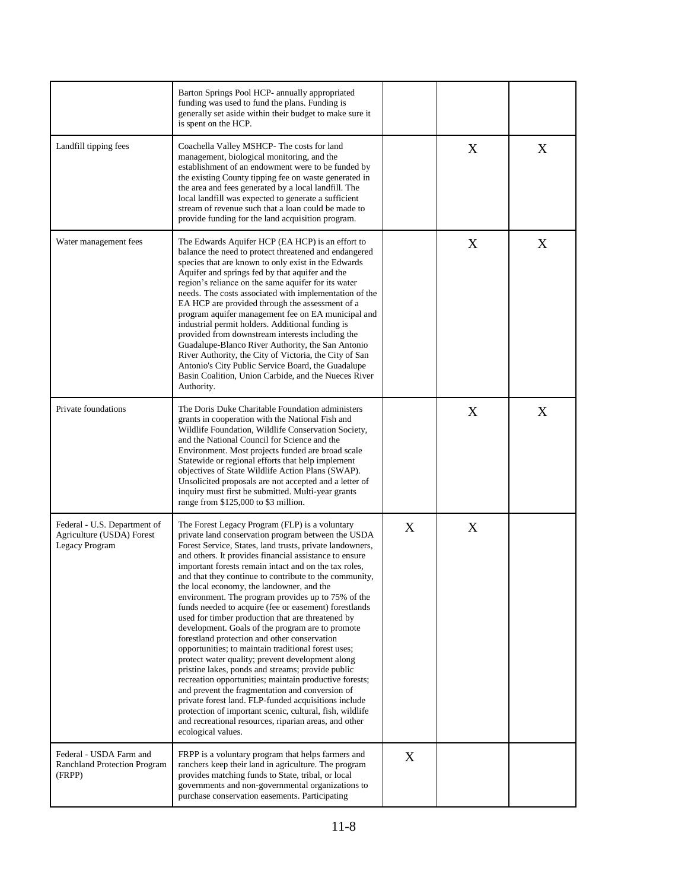|                                                                             | Barton Springs Pool HCP- annually appropriated<br>funding was used to fund the plans. Funding is<br>generally set aside within their budget to make sure it<br>is spent on the HCP.                                                                                                                                                                                                                                                                                                                                                                                                                                                                                                                                                                                                                                                                                                                                                                                                                                                                                                                                                                |   |   |   |
|-----------------------------------------------------------------------------|----------------------------------------------------------------------------------------------------------------------------------------------------------------------------------------------------------------------------------------------------------------------------------------------------------------------------------------------------------------------------------------------------------------------------------------------------------------------------------------------------------------------------------------------------------------------------------------------------------------------------------------------------------------------------------------------------------------------------------------------------------------------------------------------------------------------------------------------------------------------------------------------------------------------------------------------------------------------------------------------------------------------------------------------------------------------------------------------------------------------------------------------------|---|---|---|
| Landfill tipping fees                                                       | Coachella Valley MSHCP-The costs for land<br>management, biological monitoring, and the<br>establishment of an endowment were to be funded by<br>the existing County tipping fee on waste generated in<br>the area and fees generated by a local landfill. The<br>local landfill was expected to generate a sufficient<br>stream of revenue such that a loan could be made to<br>provide funding for the land acquisition program.                                                                                                                                                                                                                                                                                                                                                                                                                                                                                                                                                                                                                                                                                                                 |   | X | X |
| Water management fees                                                       | The Edwards Aquifer HCP (EA HCP) is an effort to<br>balance the need to protect threatened and endangered<br>species that are known to only exist in the Edwards<br>Aquifer and springs fed by that aquifer and the<br>region's reliance on the same aquifer for its water<br>needs. The costs associated with implementation of the<br>EA HCP are provided through the assessment of a<br>program aquifer management fee on EA municipal and<br>industrial permit holders. Additional funding is<br>provided from downstream interests including the<br>Guadalupe-Blanco River Authority, the San Antonio<br>River Authority, the City of Victoria, the City of San<br>Antonio's City Public Service Board, the Guadalupe<br>Basin Coalition, Union Carbide, and the Nueces River<br>Authority.                                                                                                                                                                                                                                                                                                                                                   |   | X | X |
| Private foundations                                                         | The Doris Duke Charitable Foundation administers<br>grants in cooperation with the National Fish and<br>Wildlife Foundation, Wildlife Conservation Society,<br>and the National Council for Science and the<br>Environment. Most projects funded are broad scale<br>Statewide or regional efforts that help implement<br>objectives of State Wildlife Action Plans (SWAP).<br>Unsolicited proposals are not accepted and a letter of<br>inquiry must first be submitted. Multi-year grants<br>range from \$125,000 to \$3 million.                                                                                                                                                                                                                                                                                                                                                                                                                                                                                                                                                                                                                 |   | X | X |
| Federal - U.S. Department of<br>Agriculture (USDA) Forest<br>Legacy Program | The Forest Legacy Program (FLP) is a voluntary<br>private land conservation program between the USDA<br>Forest Service, States, land trusts, private landowners,<br>and others. It provides financial assistance to ensure<br>important forests remain intact and on the tax roles,<br>and that they continue to contribute to the community,<br>the local economy, the landowner, and the<br>environment. The program provides up to 75% of the<br>funds needed to acquire (fee or easement) forestlands<br>used for timber production that are threatened by<br>development. Goals of the program are to promote<br>forestland protection and other conservation<br>opportunities; to maintain traditional forest uses;<br>protect water quality; prevent development along<br>pristine lakes, ponds and streams; provide public<br>recreation opportunities; maintain productive forests;<br>and prevent the fragmentation and conversion of<br>private forest land. FLP-funded acquisitions include<br>protection of important scenic, cultural, fish, wildlife<br>and recreational resources, riparian areas, and other<br>ecological values. | X | X |   |
| Federal - USDA Farm and<br>Ranchland Protection Program<br>(FRPP)           | FRPP is a voluntary program that helps farmers and<br>ranchers keep their land in agriculture. The program<br>provides matching funds to State, tribal, or local<br>governments and non-governmental organizations to<br>purchase conservation easements. Participating                                                                                                                                                                                                                                                                                                                                                                                                                                                                                                                                                                                                                                                                                                                                                                                                                                                                            | X |   |   |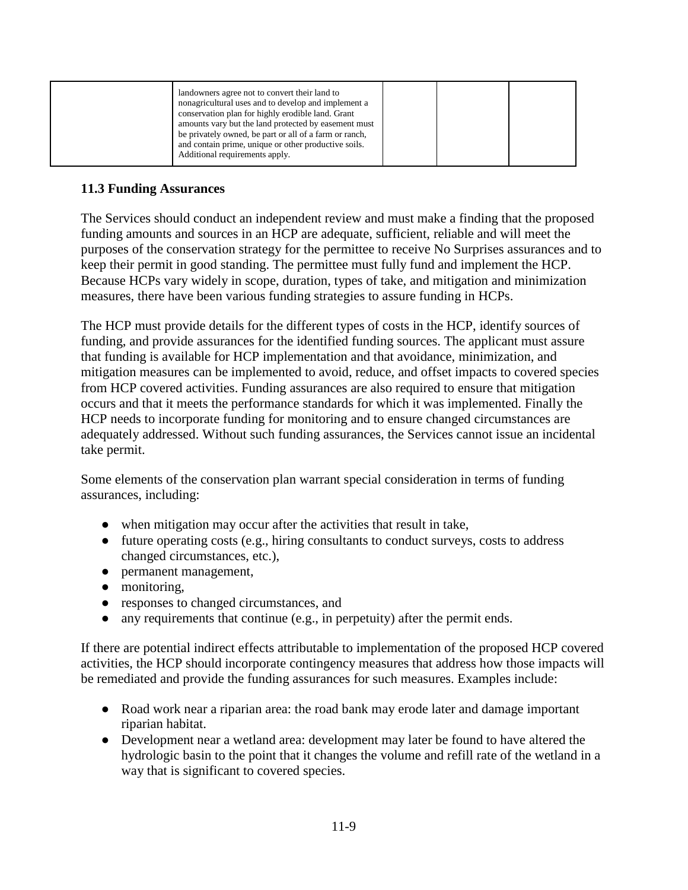|--|

### **11.3 Funding Assurances**

The Services should conduct an independent review and must make a finding that the proposed funding amounts and sources in an HCP are adequate, sufficient, reliable and will meet the purposes of the conservation strategy for the permittee to receive No Surprises assurances and to keep their permit in good standing. The permittee must fully fund and implement the HCP. Because HCPs vary widely in scope, duration, types of take, and mitigation and minimization measures, there have been various funding strategies to assure funding in HCPs.

The HCP must provide details for the different types of costs in the HCP, identify sources of funding, and provide assurances for the identified funding sources. The applicant must assure that funding is available for HCP implementation and that avoidance, minimization, and mitigation measures can be implemented to avoid, reduce, and offset impacts to covered species from HCP covered activities. Funding assurances are also required to ensure that mitigation occurs and that it meets the performance standards for which it was implemented. Finally the HCP needs to incorporate funding for monitoring and to ensure changed circumstances are adequately addressed. Without such funding assurances, the Services cannot issue an incidental take permit.

Some elements of the conservation plan warrant special consideration in terms of funding assurances, including:

- when mitigation may occur after the activities that result in take,
- future operating costs (e.g., hiring consultants to conduct surveys, costs to address changed circumstances, etc.),
- permanent management,
- monitoring,
- responses to changed circumstances, and
- any requirements that continue (e.g., in perpetuity) after the permit ends.

If there are potential indirect effects attributable to implementation of the proposed HCP covered activities, the HCP should incorporate contingency measures that address how those impacts will be remediated and provide the funding assurances for such measures. Examples include:

- Road work near a riparian area: the road bank may erode later and damage important riparian habitat.
- Development near a wetland area: development may later be found to have altered the hydrologic basin to the point that it changes the volume and refill rate of the wetland in a way that is significant to covered species.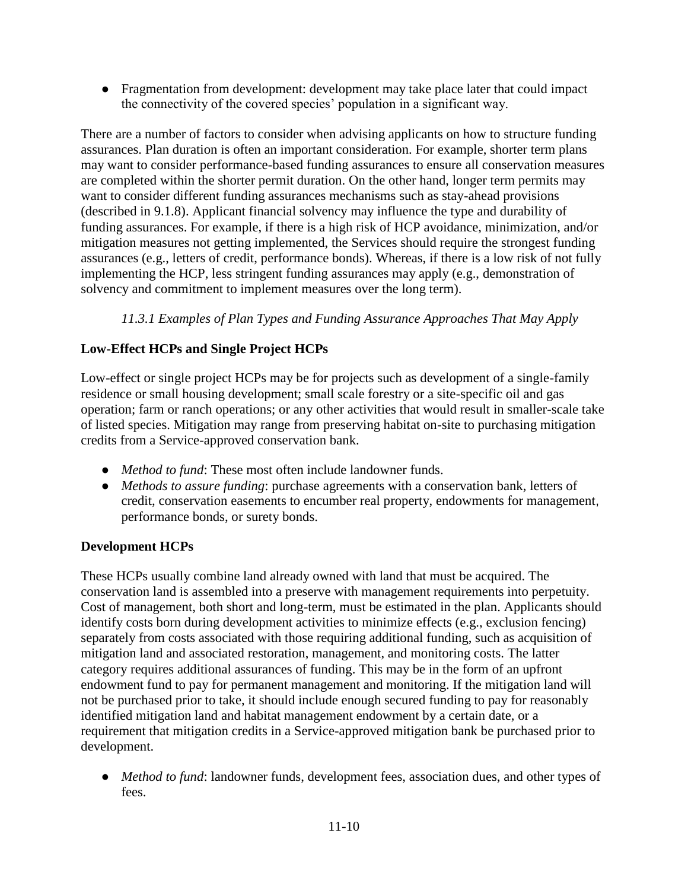• Fragmentation from development: development may take place later that could impact the connectivity of the covered species' population in a significant way.

There are a number of factors to consider when advising applicants on how to structure funding assurances. Plan duration is often an important consideration. For example, shorter term plans may want to consider performance-based funding assurances to ensure all conservation measures are completed within the shorter permit duration. On the other hand, longer term permits may want to consider different funding assurances mechanisms such as stay-ahead provisions (described in 9.1.8). Applicant financial solvency may influence the type and durability of funding assurances. For example, if there is a high risk of HCP avoidance, minimization, and/or mitigation measures not getting implemented, the Services should require the strongest funding assurances (e.g., letters of credit, performance bonds). Whereas, if there is a low risk of not fully implementing the HCP, less stringent funding assurances may apply (e.g., demonstration of solvency and commitment to implement measures over the long term).

# *11.3.1 Examples of Plan Types and Funding Assurance Approaches That May Apply*

# **Low-Effect HCPs and Single Project HCPs**

Low-effect or single project HCPs may be for projects such as development of a single-family residence or small housing development; small scale forestry or a site-specific oil and gas operation; farm or ranch operations; or any other activities that would result in smaller-scale take of listed species. Mitigation may range from preserving habitat on-site to purchasing mitigation credits from a Service-approved conservation bank.

- *Method to fund*: These most often include landowner funds.
- *Methods to assure funding*: purchase agreements with a conservation bank, letters of credit, conservation easements to encumber real property, endowments for management, performance bonds, or surety bonds.

# **Development HCPs**

These HCPs usually combine land already owned with land that must be acquired. The conservation land is assembled into a preserve with management requirements into perpetuity. Cost of management, both short and long-term, must be estimated in the plan. Applicants should identify costs born during development activities to minimize effects (e.g., exclusion fencing) separately from costs associated with those requiring additional funding, such as acquisition of mitigation land and associated restoration, management, and monitoring costs. The latter category requires additional assurances of funding. This may be in the form of an upfront endowment fund to pay for permanent management and monitoring. If the mitigation land will not be purchased prior to take, it should include enough secured funding to pay for reasonably identified mitigation land and habitat management endowment by a certain date, or a requirement that mitigation credits in a Service-approved mitigation bank be purchased prior to development.

● *Method to fund*: landowner funds, development fees, association dues, and other types of fees.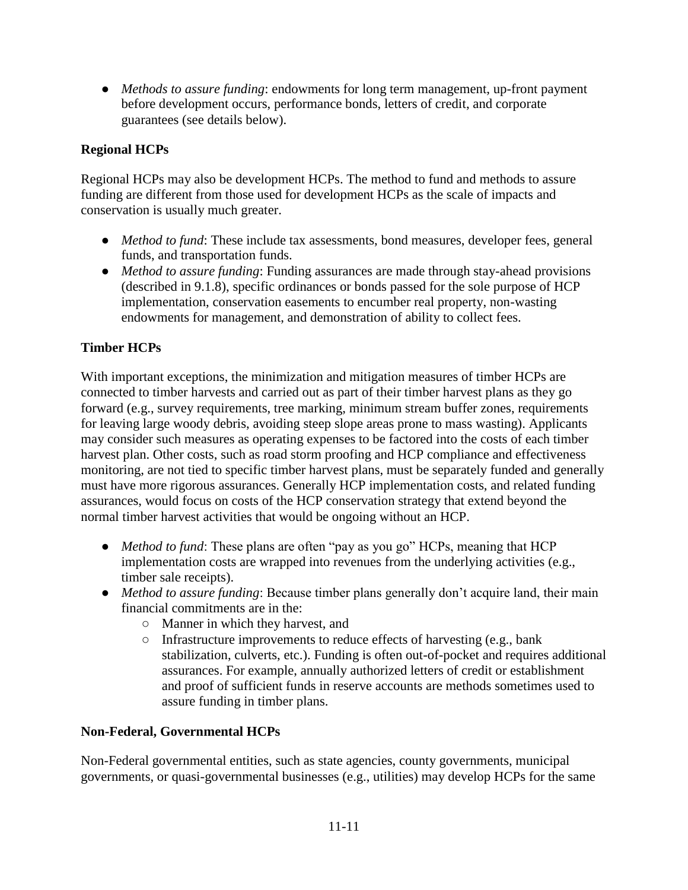● *Methods to assure funding*: endowments for long term management, up-front payment before development occurs, performance bonds, letters of credit, and corporate guarantees (see details below).

### **Regional HCPs**

Regional HCPs may also be development HCPs. The method to fund and methods to assure funding are different from those used for development HCPs as the scale of impacts and conservation is usually much greater.

- *Method to fund*: These include tax assessments, bond measures, developer fees, general funds, and transportation funds.
- *Method to assure funding*: Funding assurances are made through stay-ahead provisions (described in 9.1.8), specific ordinances or bonds passed for the sole purpose of HCP implementation, conservation easements to encumber real property, non-wasting endowments for management, and demonstration of ability to collect fees.

### **Timber HCPs**

With important exceptions, the minimization and mitigation measures of timber HCPs are connected to timber harvests and carried out as part of their timber harvest plans as they go forward (e.g., survey requirements, tree marking, minimum stream buffer zones, requirements for leaving large woody debris, avoiding steep slope areas prone to mass wasting). Applicants may consider such measures as operating expenses to be factored into the costs of each timber harvest plan. Other costs, such as road storm proofing and HCP compliance and effectiveness monitoring, are not tied to specific timber harvest plans, must be separately funded and generally must have more rigorous assurances. Generally HCP implementation costs, and related funding assurances, would focus on costs of the HCP conservation strategy that extend beyond the normal timber harvest activities that would be ongoing without an HCP.

- *Method to fund*: These plans are often "pay as you go" HCPs, meaning that HCP implementation costs are wrapped into revenues from the underlying activities (e.g., timber sale receipts).
- *Method to assure funding*: Because timber plans generally don't acquire land, their main financial commitments are in the:
	- Manner in which they harvest, and
	- Infrastructure improvements to reduce effects of harvesting (e.g., bank stabilization, culverts, etc.). Funding is often out-of-pocket and requires additional assurances. For example, annually authorized letters of credit or establishment and proof of sufficient funds in reserve accounts are methods sometimes used to assure funding in timber plans.

### **Non-Federal, Governmental HCPs**

Non-Federal governmental entities, such as state agencies, county governments, municipal governments, or quasi-governmental businesses (e.g., utilities) may develop HCPs for the same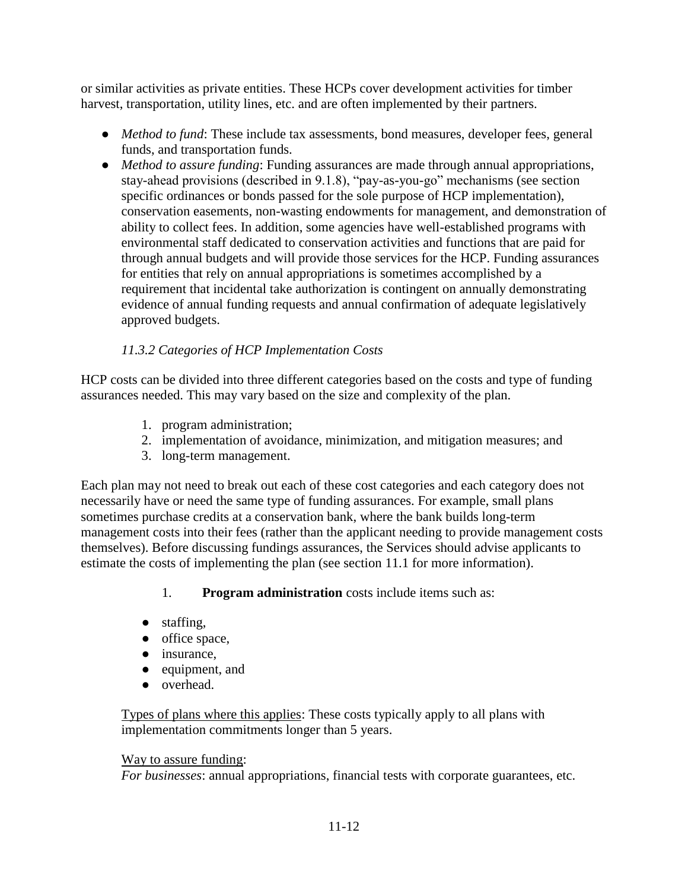or similar activities as private entities. These HCPs cover development activities for timber harvest, transportation, utility lines, etc. and are often implemented by their partners.

- *Method to fund*: These include tax assessments, bond measures, developer fees, general funds, and transportation funds.
- *Method to assure funding*: Funding assurances are made through annual appropriations, stay-ahead provisions (described in 9.1.8), "pay-as-you-go" mechanisms (see section specific ordinances or bonds passed for the sole purpose of HCP implementation), conservation easements, non-wasting endowments for management, and demonstration of ability to collect fees. In addition, some agencies have well-established programs with environmental staff dedicated to conservation activities and functions that are paid for through annual budgets and will provide those services for the HCP. Funding assurances for entities that rely on annual appropriations is sometimes accomplished by a requirement that incidental take authorization is contingent on annually demonstrating evidence of annual funding requests and annual confirmation of adequate legislatively approved budgets.

# *11.3.2 Categories of HCP Implementation Costs*

HCP costs can be divided into three different categories based on the costs and type of funding assurances needed. This may vary based on the size and complexity of the plan.

- 1. program administration;
- 2. implementation of avoidance, minimization, and mitigation measures; and
- 3. long-term management.

Each plan may not need to break out each of these cost categories and each category does not necessarily have or need the same type of funding assurances. For example, small plans sometimes purchase credits at a conservation bank, where the bank builds long-term management costs into their fees (rather than the applicant needing to provide management costs themselves). Before discussing fundings assurances, the Services should advise applicants to estimate the costs of implementing the plan (see section 11.1 for more information).

1. **Program administration** costs include items such as:

- staffing,
- office space,
- insurance,
- equipment, and
- overhead.

Types of plans where this applies: These costs typically apply to all plans with implementation commitments longer than 5 years.

# Way to assure funding:

*For businesses*: annual appropriations, financial tests with corporate guarantees, etc.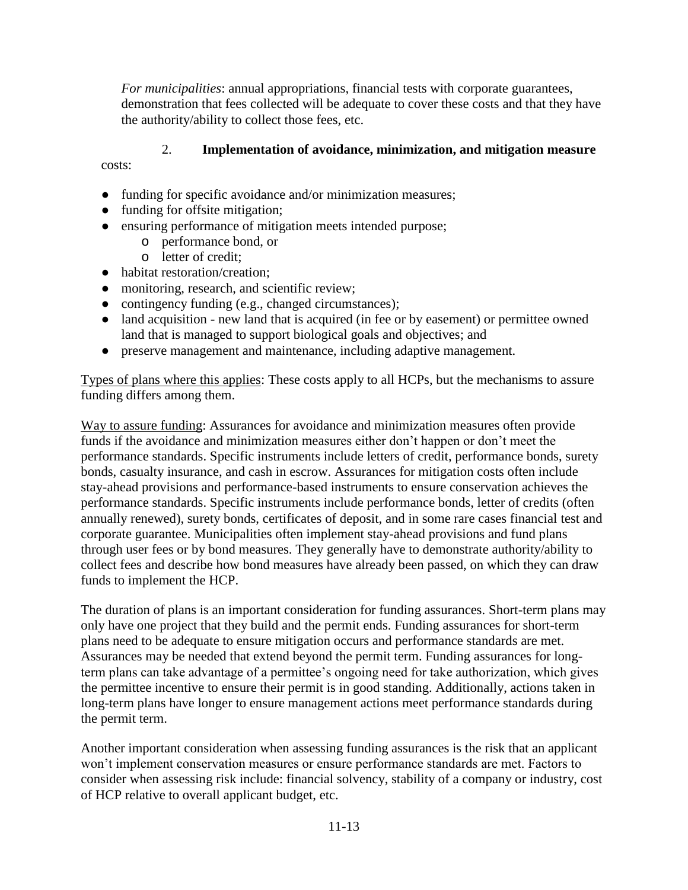*For municipalities*: annual appropriations, financial tests with corporate guarantees, demonstration that fees collected will be adequate to cover these costs and that they have the authority/ability to collect those fees, etc.

# 2. **Implementation of avoidance, minimization, and mitigation measure**

costs:

- funding for specific avoidance and/or minimization measures;
- funding for offsite mitigation;
- ensuring performance of mitigation meets intended purpose;
	- o performance bond, or
	- o letter of credit;
- habitat restoration/creation;
- monitoring, research, and scientific review;
- contingency funding (e.g., changed circumstances);
- land acquisition new land that is acquired (in fee or by easement) or permittee owned land that is managed to support biological goals and objectives; and
- preserve management and maintenance, including adaptive management.

Types of plans where this applies: These costs apply to all HCPs, but the mechanisms to assure funding differs among them.

Way to assure funding: Assurances for avoidance and minimization measures often provide funds if the avoidance and minimization measures either don't happen or don't meet the performance standards. Specific instruments include letters of credit, performance bonds, surety bonds, casualty insurance, and cash in escrow. Assurances for mitigation costs often include stay-ahead provisions and performance-based instruments to ensure conservation achieves the performance standards. Specific instruments include performance bonds, letter of credits (often annually renewed), surety bonds, certificates of deposit, and in some rare cases financial test and corporate guarantee. Municipalities often implement stay-ahead provisions and fund plans through user fees or by bond measures. They generally have to demonstrate authority/ability to collect fees and describe how bond measures have already been passed, on which they can draw funds to implement the HCP.

The duration of plans is an important consideration for funding assurances. Short-term plans may only have one project that they build and the permit ends. Funding assurances for short-term plans need to be adequate to ensure mitigation occurs and performance standards are met. Assurances may be needed that extend beyond the permit term. Funding assurances for longterm plans can take advantage of a permittee's ongoing need for take authorization, which gives the permittee incentive to ensure their permit is in good standing. Additionally, actions taken in long-term plans have longer to ensure management actions meet performance standards during the permit term.

Another important consideration when assessing funding assurances is the risk that an applicant won't implement conservation measures or ensure performance standards are met. Factors to consider when assessing risk include: financial solvency, stability of a company or industry, cost of HCP relative to overall applicant budget, etc.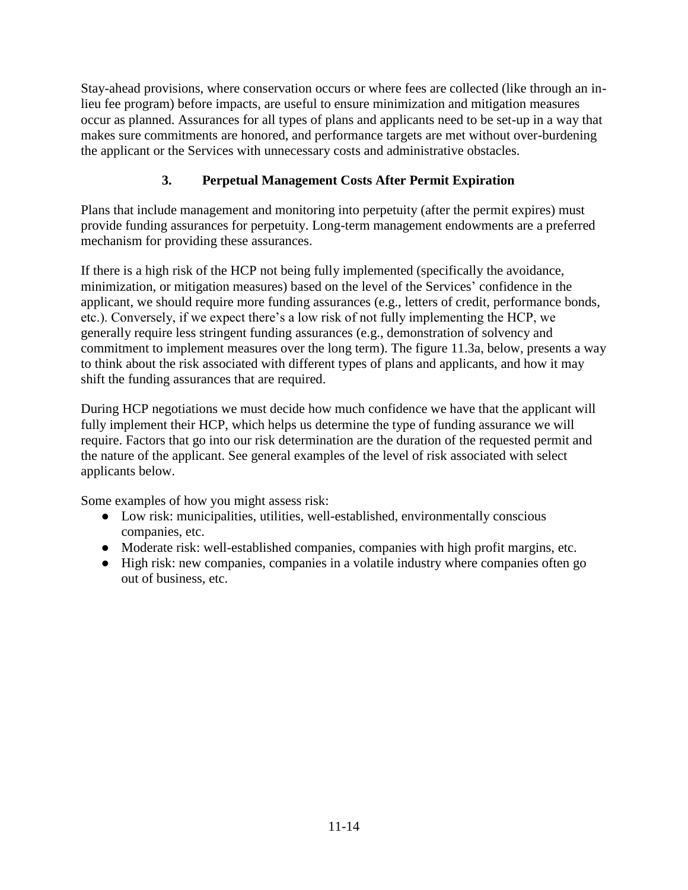Stay-ahead provisions, where conservation occurs or where fees are collected (like through an inlieu fee program) before impacts, are useful to ensure minimization and mitigation measures occur as planned. Assurances for all types of plans and applicants need to be set-up in a way that makes sure commitments are honored, and performance targets are met without over-burdening the applicant or the Services with unnecessary costs and administrative obstacles.

# **3. Perpetual Management Costs After Permit Expiration**

Plans that include management and monitoring into perpetuity (after the permit expires) must provide funding assurances for perpetuity. Long-term management endowments are a preferred mechanism for providing these assurances.

If there is a high risk of the HCP not being fully implemented (specifically the avoidance, minimization, or mitigation measures) based on the level of the Services' confidence in the applicant, we should require more funding assurances (e.g., letters of credit, performance bonds, etc.). Conversely, if we expect there's a low risk of not fully implementing the HCP, we generally require less stringent funding assurances (e.g., demonstration of solvency and commitment to implement measures over the long term). The figure 11.3a, below, presents a way to think about the risk associated with different types of plans and applicants, and how it may shift the funding assurances that are required.

During HCP negotiations we must decide how much confidence we have that the applicant will fully implement their HCP, which helps us determine the type of funding assurance we will require. Factors that go into our risk determination are the duration of the requested permit and the nature of the applicant. See general examples of the level of risk associated with select applicants below.

Some examples of how you might assess risk:

- Low risk: municipalities, utilities, well-established, environmentally conscious companies, etc.
- Moderate risk: well-established companies, companies with high profit margins, etc.
- High risk: new companies, companies in a volatile industry where companies often go out of business, etc.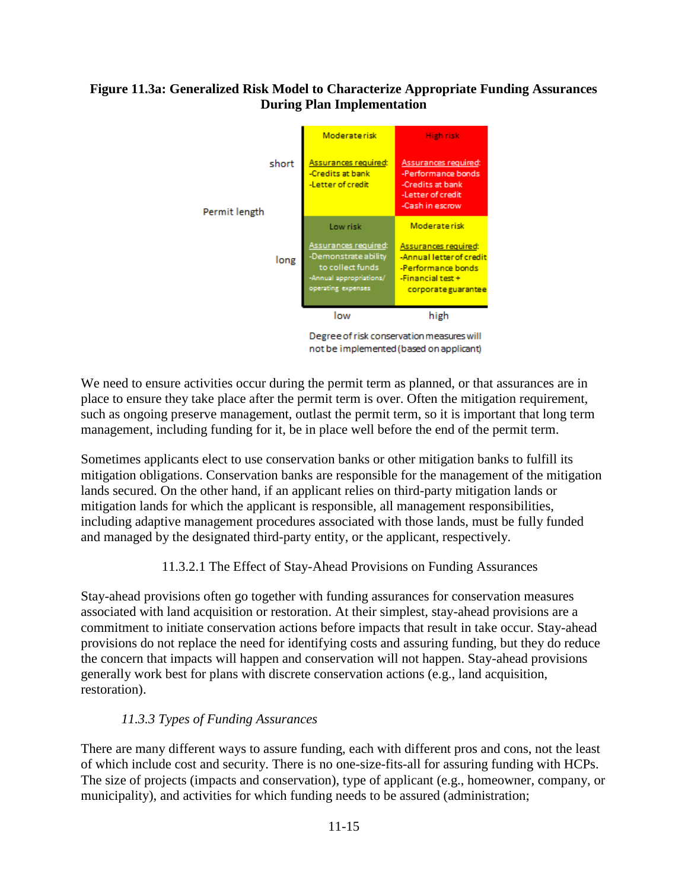### **Figure 11.3a: Generalized Risk Model to Characterize Appropriate Funding Assurances During Plan Implementation**



Degree of risk conservation measures will not be implemented (based on applicant)

We need to ensure activities occur during the permit term as planned, or that assurances are in place to ensure they take place after the permit term is over. Often the mitigation requirement, such as ongoing preserve management, outlast the permit term, so it is important that long term management, including funding for it, be in place well before the end of the permit term.

Sometimes applicants elect to use conservation banks or other mitigation banks to fulfill its mitigation obligations. Conservation banks are responsible for the management of the mitigation lands secured. On the other hand, if an applicant relies on third-party mitigation lands or mitigation lands for which the applicant is responsible, all management responsibilities, including adaptive management procedures associated with those lands, must be fully funded and managed by the designated third-party entity, or the applicant, respectively.

# 11.3.2.1 The Effect of Stay-Ahead Provisions on Funding Assurances

Stay-ahead provisions often go together with funding assurances for conservation measures associated with land acquisition or restoration. At their simplest, stay-ahead provisions are a commitment to initiate conservation actions before impacts that result in take occur. Stay-ahead provisions do not replace the need for identifying costs and assuring funding, but they do reduce the concern that impacts will happen and conservation will not happen. Stay-ahead provisions generally work best for plans with discrete conservation actions (e.g., land acquisition, restoration).

# *11.3.3 Types of Funding Assurances*

There are many different ways to assure funding, each with different pros and cons, not the least of which include cost and security. There is no one-size-fits-all for assuring funding with HCPs. The size of projects (impacts and conservation), type of applicant (e.g., homeowner, company, or municipality), and activities for which funding needs to be assured (administration;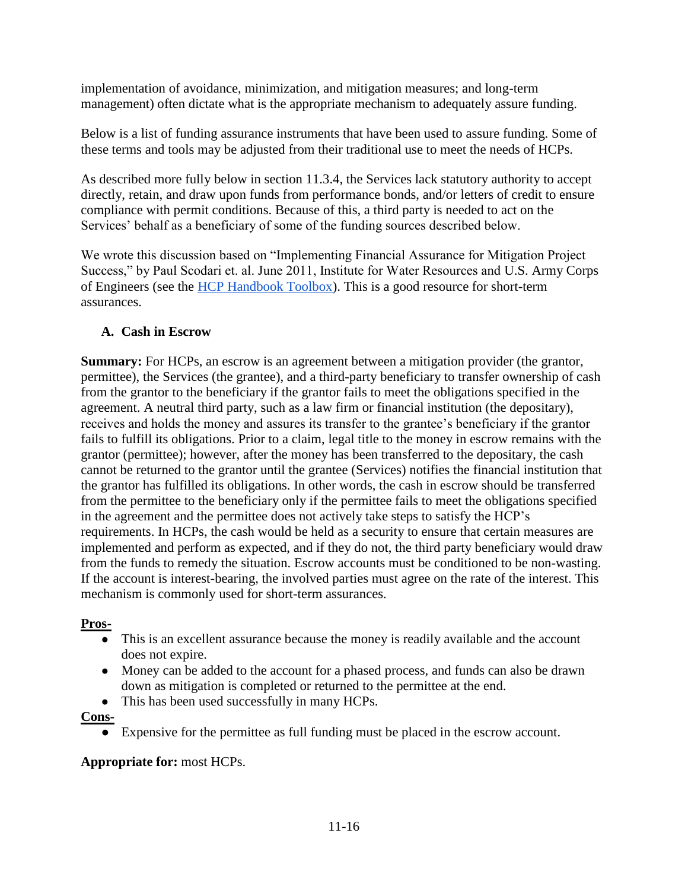implementation of avoidance, minimization, and mitigation measures; and long-term management) often dictate what is the appropriate mechanism to adequately assure funding.

Below is a list of funding assurance instruments that have been used to assure funding. Some of these terms and tools may be adjusted from their traditional use to meet the needs of HCPs.

As described more fully below in section 11.3.4, the Services lack statutory authority to accept directly, retain, and draw upon funds from performance bonds, and/or letters of credit to ensure compliance with permit conditions. Because of this, a third party is needed to act on the Services' behalf as a beneficiary of some of the funding sources described below.

We wrote this discussion based on "Implementing Financial Assurance for Mitigation Project Success," by Paul Scodari et. al. June 2011, Institute for Water Resources and U.S. Army Corps of Engineers (see the [HCP Handbook Toolbox\)](https://www.fws.gov/endangered/what-we-do/hcp-handbook-toolbox.html#Ch11). This is a good resource for short-term assurances.

# **A. Cash in Escrow**

**Summary:** For HCPs, an escrow is an agreement between a mitigation provider (the grantor, permittee), the Services (the grantee), and a third-party beneficiary to transfer ownership of cash from the grantor to the beneficiary if the grantor fails to meet the obligations specified in the agreement. A neutral third party, such as a law firm or financial institution (the depositary), receives and holds the money and assures its transfer to the grantee's beneficiary if the grantor fails to fulfill its obligations. Prior to a claim, legal title to the money in escrow remains with the grantor (permittee); however, after the money has been transferred to the depositary, the cash cannot be returned to the grantor until the grantee (Services) notifies the financial institution that the grantor has fulfilled its obligations. In other words, the cash in escrow should be transferred from the permittee to the beneficiary only if the permittee fails to meet the obligations specified in the agreement and the permittee does not actively take steps to satisfy the HCP's requirements. In HCPs, the cash would be held as a security to ensure that certain measures are implemented and perform as expected, and if they do not, the third party beneficiary would draw from the funds to remedy the situation. Escrow accounts must be conditioned to be non-wasting. If the account is interest-bearing, the involved parties must agree on the rate of the interest. This mechanism is commonly used for short-term assurances.

# **Pros-**

- This is an excellent assurance because the money is readily available and the account does not expire.
- Money can be added to the account for a phased process, and funds can also be drawn down as mitigation is completed or returned to the permittee at the end.
- This has been used successfully in many HCPs.

**Cons-**

● Expensive for the permittee as full funding must be placed in the escrow account.

# **Appropriate for:** most HCPs.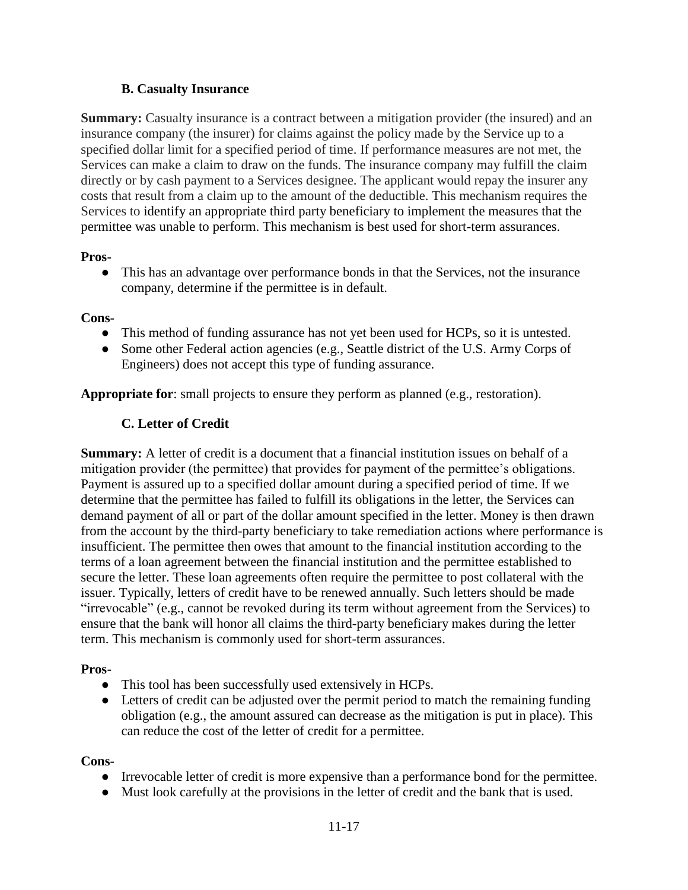### **B. Casualty Insurance**

**Summary:** Casualty insurance is a contract between a mitigation provider (the insured) and an insurance company (the insurer) for claims against the policy made by the Service up to a specified dollar limit for a specified period of time. If performance measures are not met, the Services can make a claim to draw on the funds. The insurance company may fulfill the claim directly or by cash payment to a Services designee. The applicant would repay the insurer any costs that result from a claim up to the amount of the deductible. This mechanism requires the Services to identify an appropriate third party beneficiary to implement the measures that the permittee was unable to perform. This mechanism is best used for short-term assurances.

#### **Pros-**

• This has an advantage over performance bonds in that the Services, not the insurance company, determine if the permittee is in default.

#### **Cons-**

- This method of funding assurance has not yet been used for HCPs, so it is untested.
- Some other Federal action agencies (e.g., Seattle district of the U.S. Army Corps of Engineers) does not accept this type of funding assurance.

**Appropriate for**: small projects to ensure they perform as planned (e.g., restoration).

### **C. Letter of Credit**

**Summary:** A letter of credit is a document that a financial institution issues on behalf of a mitigation provider (the permittee) that provides for payment of the permittee's obligations. Payment is assured up to a specified dollar amount during a specified period of time. If we determine that the permittee has failed to fulfill its obligations in the letter, the Services can demand payment of all or part of the dollar amount specified in the letter. Money is then drawn from the account by the third-party beneficiary to take remediation actions where performance is insufficient. The permittee then owes that amount to the financial institution according to the terms of a loan agreement between the financial institution and the permittee established to secure the letter. These loan agreements often require the permittee to post collateral with the issuer. Typically, letters of credit have to be renewed annually. Such letters should be made "irrevocable" (e.g., cannot be revoked during its term without agreement from the Services) to ensure that the bank will honor all claims the third-party beneficiary makes during the letter term. This mechanism is commonly used for short-term assurances.

#### **Pros-**

- This tool has been successfully used extensively in HCPs.
- Letters of credit can be adjusted over the permit period to match the remaining funding obligation (e.g., the amount assured can decrease as the mitigation is put in place). This can reduce the cost of the letter of credit for a permittee.

#### **Cons-**

- Irrevocable letter of credit is more expensive than a performance bond for the permittee.
- Must look carefully at the provisions in the letter of credit and the bank that is used.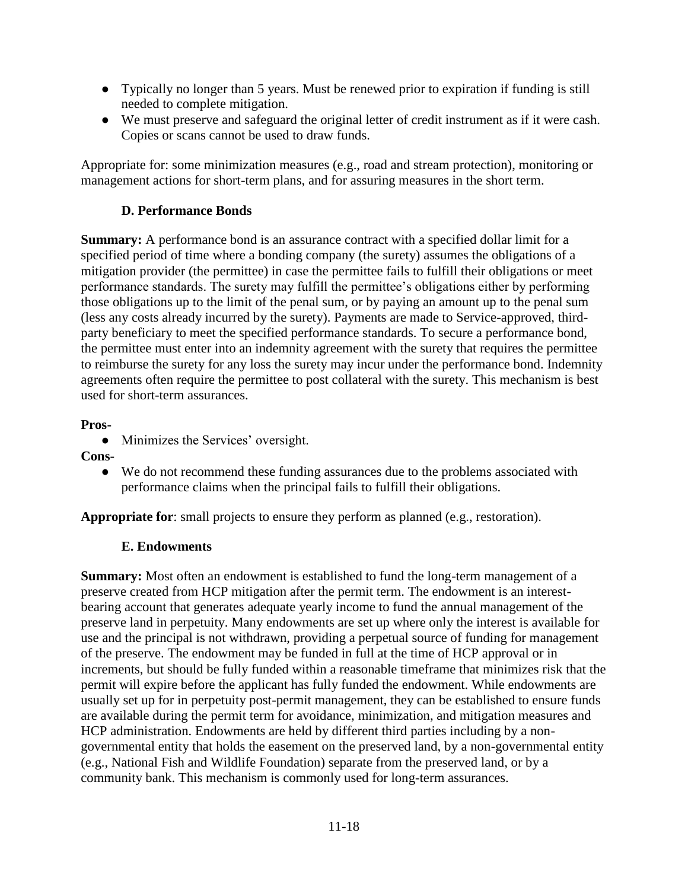- Typically no longer than 5 years. Must be renewed prior to expiration if funding is still needed to complete mitigation.
- We must preserve and safeguard the original letter of credit instrument as if it were cash. Copies or scans cannot be used to draw funds.

Appropriate for: some minimization measures (e.g., road and stream protection), monitoring or management actions for short-term plans, and for assuring measures in the short term.

### **D. Performance Bonds**

**Summary:** A performance bond is an assurance contract with a specified dollar limit for a specified period of time where a bonding company (the surety) assumes the obligations of a mitigation provider (the permittee) in case the permittee fails to fulfill their obligations or meet performance standards. The surety may fulfill the permittee's obligations either by performing those obligations up to the limit of the penal sum, or by paying an amount up to the penal sum (less any costs already incurred by the surety). Payments are made to Service-approved, thirdparty beneficiary to meet the specified performance standards. To secure a performance bond, the permittee must enter into an indemnity agreement with the surety that requires the permittee to reimburse the surety for any loss the surety may incur under the performance bond. Indemnity agreements often require the permittee to post collateral with the surety. This mechanism is best used for short-term assurances.

### **Pros-**

- Minimizes the Services' oversight.
- **Cons-**
	- We do not recommend these funding assurances due to the problems associated with performance claims when the principal fails to fulfill their obligations.

**Appropriate for**: small projects to ensure they perform as planned (e.g., restoration).

### **E. Endowments**

**Summary:** Most often an endowment is established to fund the long-term management of a preserve created from HCP mitigation after the permit term. The endowment is an interestbearing account that generates adequate yearly income to fund the annual management of the preserve land in perpetuity. Many endowments are set up where only the interest is available for use and the principal is not withdrawn, providing a perpetual source of funding for management of the preserve. The endowment may be funded in full at the time of HCP approval or in increments, but should be fully funded within a reasonable timeframe that minimizes risk that the permit will expire before the applicant has fully funded the endowment. While endowments are usually set up for in perpetuity post-permit management, they can be established to ensure funds are available during the permit term for avoidance, minimization, and mitigation measures and HCP administration. Endowments are held by different third parties including by a nongovernmental entity that holds the easement on the preserved land, by a non-governmental entity (e.g., National Fish and Wildlife Foundation) separate from the preserved land, or by a community bank. This mechanism is commonly used for long-term assurances.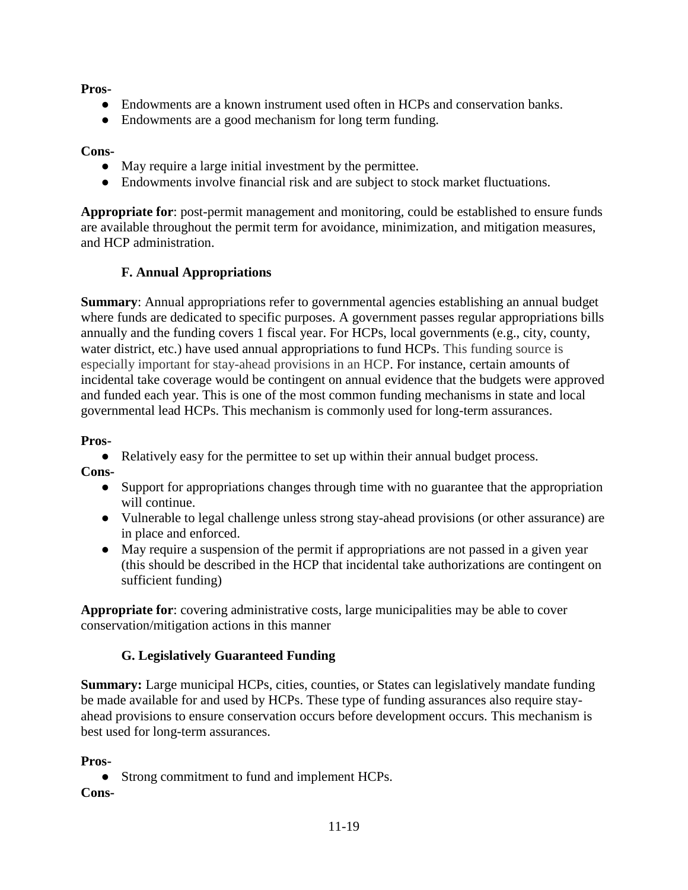**Pros-**

- Endowments are a known instrument used often in HCPs and conservation banks.
- Endowments are a good mechanism for long term funding.

### **Cons-**

- May require a large initial investment by the permittee.
- Endowments involve financial risk and are subject to stock market fluctuations.

**Appropriate for**: post-permit management and monitoring, could be established to ensure funds are available throughout the permit term for avoidance, minimization, and mitigation measures, and HCP administration.

### **F. Annual Appropriations**

**Summary:** Annual appropriations refer to governmental agencies establishing an annual budget where funds are dedicated to specific purposes. A government passes regular appropriations bills annually and the funding covers 1 fiscal year. For HCPs, local governments (e.g., city, county, water district, etc.) have used annual appropriations to fund HCPs. This funding source is especially important for stay-ahead provisions in an HCP. For instance, certain amounts of incidental take coverage would be contingent on annual evidence that the budgets were approved and funded each year. This is one of the most common funding mechanisms in state and local governmental lead HCPs. This mechanism is commonly used for long-term assurances.

#### **Pros-**

● Relatively easy for the permittee to set up within their annual budget process.

**Cons-**

- Support for appropriations changes through time with no guarantee that the appropriation will continue.
- Vulnerable to legal challenge unless strong stay-ahead provisions (or other assurance) are in place and enforced.
- May require a suspension of the permit if appropriations are not passed in a given year (this should be described in the HCP that incidental take authorizations are contingent on sufficient funding)

**Appropriate for**: covering administrative costs, large municipalities may be able to cover conservation/mitigation actions in this manner

### **G. Legislatively Guaranteed Funding**

**Summary:** Large municipal HCPs, cities, counties, or States can legislatively mandate funding be made available for and used by HCPs. These type of funding assurances also require stayahead provisions to ensure conservation occurs before development occurs. This mechanism is best used for long-term assurances.

#### **Pros-**

• Strong commitment to fund and implement HCPs.

#### **Cons-**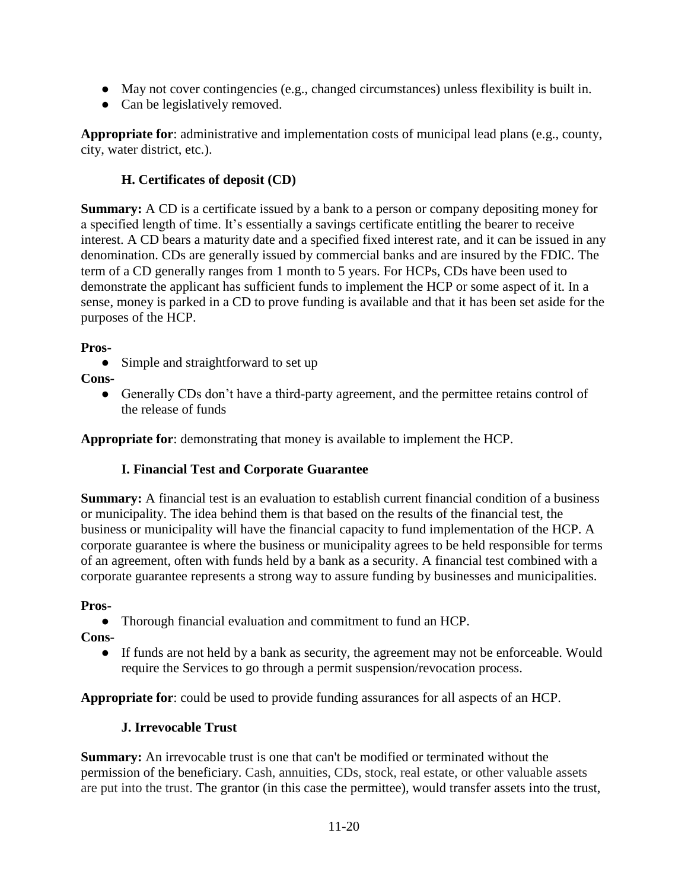- $\bullet$  May not cover contingencies (e.g., changed circumstances) unless flexibility is built in.
- Can be legislatively removed.

**Appropriate for**: administrative and implementation costs of municipal lead plans (e.g., county, city, water district, etc.).

# **H. Certificates of deposit (CD)**

**Summary:** A CD is a certificate issued by a bank to a person or company depositing money for a specified length of time. It's essentially a savings certificate entitling the bearer to receive interest. A CD bears a maturity date and a specified fixed interest rate, and it can be issued in any denomination. CDs are generally issued by commercial banks and are insured by the FDIC. The term of a CD generally ranges from 1 month to 5 years. For HCPs, CDs have been used to demonstrate the applicant has sufficient funds to implement the HCP or some aspect of it. In a sense, money is parked in a CD to prove funding is available and that it has been set aside for the purposes of the HCP.

### **Pros-**

• Simple and straightforward to set up

**Cons-**

• Generally CDs don't have a third-party agreement, and the permittee retains control of the release of funds

**Appropriate for**: demonstrating that money is available to implement the HCP.

# **I. Financial Test and Corporate Guarantee**

**Summary:** A financial test is an evaluation to establish current financial condition of a business or municipality. The idea behind them is that based on the results of the financial test, the business or municipality will have the financial capacity to fund implementation of the HCP. A corporate guarantee is where the business or municipality agrees to be held responsible for terms of an agreement, often with funds held by a bank as a security. A financial test combined with a corporate guarantee represents a strong way to assure funding by businesses and municipalities.

**Pros-**

● Thorough financial evaluation and commitment to fund an HCP.

**Cons-**

● If funds are not held by a bank as security, the agreement may not be enforceable. Would require the Services to go through a permit suspension/revocation process.

**Appropriate for**: could be used to provide funding assurances for all aspects of an HCP.

# **J. Irrevocable Trust**

**Summary:** An irrevocable trust is one that can't be modified or terminated without the permission of the beneficiary. Cash, annuities, CDs, stock, real estate, or other valuable assets are put into the trust. The grantor (in this case the permittee), would transfer assets into the trust,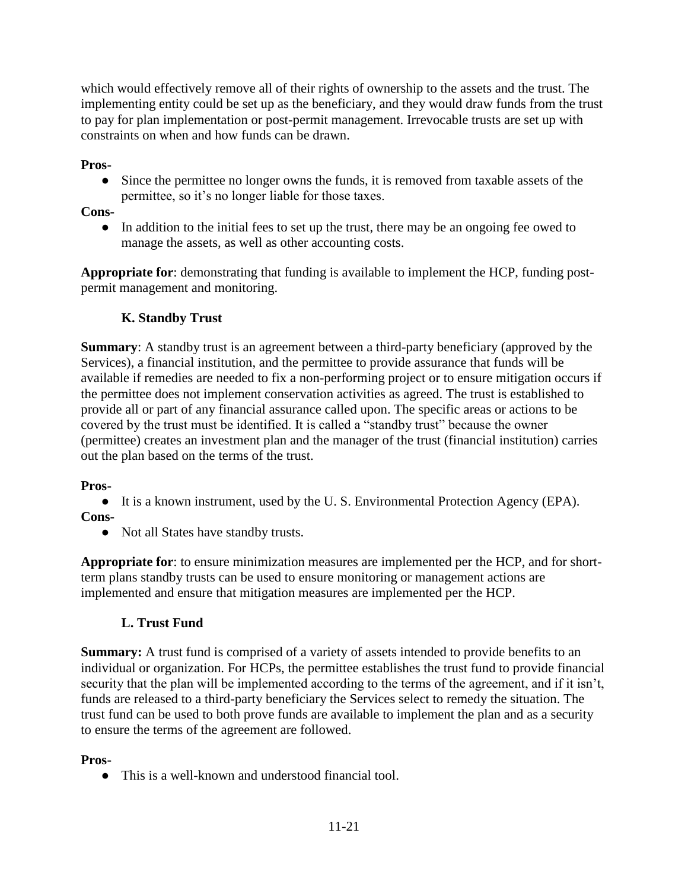which would effectively remove all of their rights of ownership to the assets and the trust. The implementing entity could be set up as the beneficiary, and they would draw funds from the trust to pay for plan implementation or post-permit management. Irrevocable trusts are set up with constraints on when and how funds can be drawn.

### **Pros-**

• Since the permittee no longer owns the funds, it is removed from taxable assets of the permittee, so it's no longer liable for those taxes.

### **Cons-**

• In addition to the initial fees to set up the trust, there may be an ongoing fee owed to manage the assets, as well as other accounting costs.

**Appropriate for**: demonstrating that funding is available to implement the HCP, funding postpermit management and monitoring.

# **K. Standby Trust**

**Summary**: A standby trust is an agreement between a third-party beneficiary (approved by the Services), a financial institution, and the permittee to provide assurance that funds will be available if remedies are needed to fix a non-performing project or to ensure mitigation occurs if the permittee does not implement conservation activities as agreed. The trust is established to provide all or part of any financial assurance called upon. The specific areas or actions to be covered by the trust must be identified. It is called a "standby trust" because the owner (permittee) creates an investment plan and the manager of the trust (financial institution) carries out the plan based on the terms of the trust.

### **Pros-**

● It is a known instrument, used by the U. S. Environmental Protection Agency (EPA).

### **Cons-**

• Not all States have standby trusts.

**Appropriate for**: to ensure minimization measures are implemented per the HCP, and for shortterm plans standby trusts can be used to ensure monitoring or management actions are implemented and ensure that mitigation measures are implemented per the HCP.

### **L. Trust Fund**

**Summary:** A trust fund is comprised of a variety of assets intended to provide benefits to an individual or organization. For HCPs, the permittee establishes the trust fund to provide financial security that the plan will be implemented according to the terms of the agreement, and if it isn't, funds are released to a third-party beneficiary the Services select to remedy the situation. The trust fund can be used to both prove funds are available to implement the plan and as a security to ensure the terms of the agreement are followed.

### **Pros-**

● This is a well-known and understood financial tool.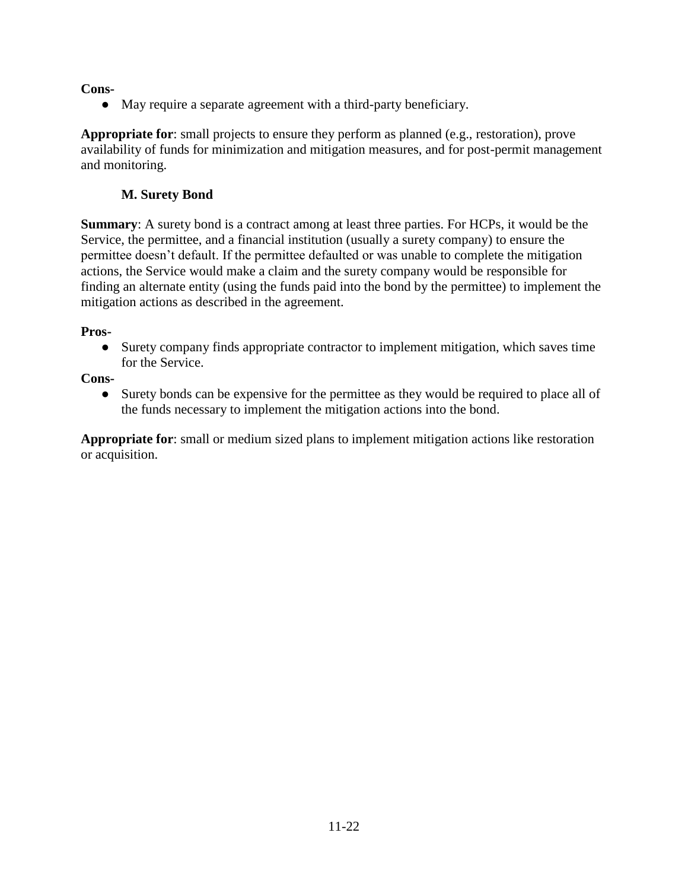### **Cons-**

● May require a separate agreement with a third-party beneficiary.

**Appropriate for**: small projects to ensure they perform as planned (e.g., restoration), prove availability of funds for minimization and mitigation measures, and for post-permit management and monitoring.

### **M. Surety Bond**

**Summary**: A surety bond is a contract among at least three parties. For HCPs, it would be the Service, the permittee, and a financial institution (usually a surety company) to ensure the permittee doesn't default. If the permittee defaulted or was unable to complete the mitigation actions, the Service would make a claim and the surety company would be responsible for finding an alternate entity (using the funds paid into the bond by the permittee) to implement the mitigation actions as described in the agreement.

### **Pros-**

● Surety company finds appropriate contractor to implement mitigation, which saves time for the Service.

**Cons-**

● Surety bonds can be expensive for the permittee as they would be required to place all of the funds necessary to implement the mitigation actions into the bond.

**Appropriate for**: small or medium sized plans to implement mitigation actions like restoration or acquisition.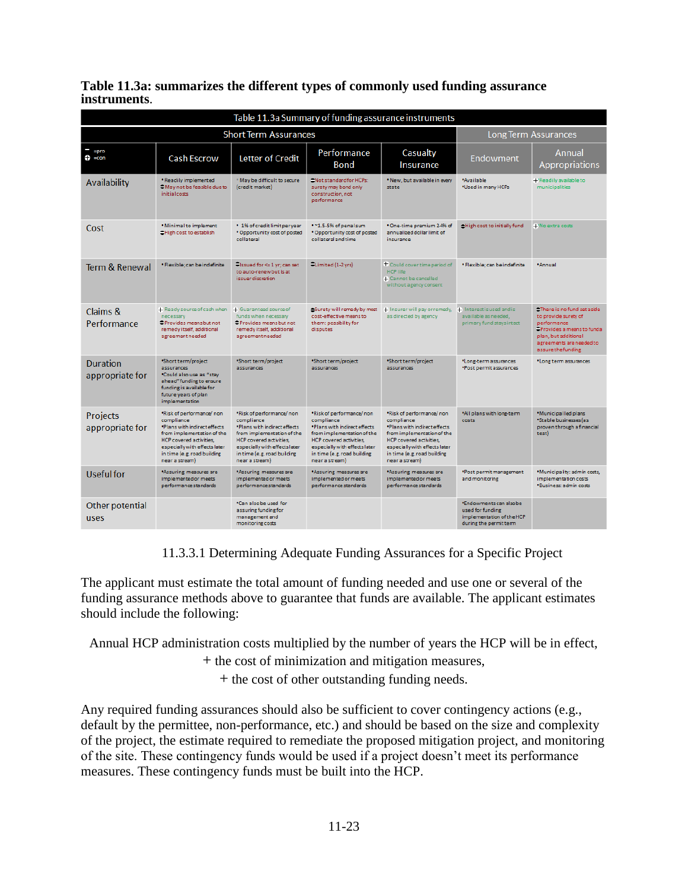|              | Table 11.3a: summarizes the different types of commonly used funding assurance |  |
|--------------|--------------------------------------------------------------------------------|--|
| instruments. |                                                                                |  |

| Table 11.3a Summary of funding assurance instruments |                                                                                                                                                                                                                          |                                                                                                                                                                                                                          |                                                                                                                                                                                                                          |                                                                                                                                                                                                                          |                                                                                                   |                                                                                                                                                                          |  |
|------------------------------------------------------|--------------------------------------------------------------------------------------------------------------------------------------------------------------------------------------------------------------------------|--------------------------------------------------------------------------------------------------------------------------------------------------------------------------------------------------------------------------|--------------------------------------------------------------------------------------------------------------------------------------------------------------------------------------------------------------------------|--------------------------------------------------------------------------------------------------------------------------------------------------------------------------------------------------------------------------|---------------------------------------------------------------------------------------------------|--------------------------------------------------------------------------------------------------------------------------------------------------------------------------|--|
|                                                      | <b>Short Term Assurances</b>                                                                                                                                                                                             | <b>Long Term Assurances</b>                                                                                                                                                                                              |                                                                                                                                                                                                                          |                                                                                                                                                                                                                          |                                                                                                   |                                                                                                                                                                          |  |
| $=$ pro<br>$\bullet$ =con                            | <b>Cash Escrow</b>                                                                                                                                                                                                       | <b>Letter of Credit</b>                                                                                                                                                                                                  | Performance<br>Bond                                                                                                                                                                                                      | Casualty<br>Insurance                                                                                                                                                                                                    | Endowment                                                                                         | Annual<br><b>Appropriations</b>                                                                                                                                          |  |
| Availability                                         | * Readily implemented<br>CMay not be feasible due to<br>initial costs                                                                                                                                                    | * May be difficult to secure<br>(credit market)                                                                                                                                                                          | Not standard for HCPs:<br>surety may bond only<br>construction, not<br>performance                                                                                                                                       | . New, but available in every<br>state                                                                                                                                                                                   | *Available<br>*Used in many HCPs                                                                  | +'Readily available to<br>municipalities                                                                                                                                 |  |
| Cost                                                 | . Minimal to implement<br>CHigh cost to establish                                                                                                                                                                        | • 1% of credit limit per year<br>* Opportunity cost of posted<br>collateral                                                                                                                                              | .~1.5-5% of penalsum<br>* Opportunity cost of posted<br>collateral and time                                                                                                                                              | * One-time premium 2-4% of<br>annualized dollar limit of<br>insurance                                                                                                                                                    | eHigh cost to initially fund                                                                      | + No extra costs                                                                                                                                                         |  |
| Term & Renewal                                       | * Flexible; can be indefinite                                                                                                                                                                                            | Sissued for <= 1 yr; can set<br>to auto-renew but is at<br>issuerdiscretion                                                                                                                                              | -Limited (1-2 yrs)                                                                                                                                                                                                       | $+$ Could cover time period of<br><b>HCP life</b><br>+ Cannot be cancelled<br>without agency consent                                                                                                                     | * Flexible; can be indefinite                                                                     | *Annual                                                                                                                                                                  |  |
| Claims &<br>Performance                              | + Ready source of cash when<br>necessary<br>Provides means but not<br>remedy itself, additional<br>agreement needed                                                                                                      | + Guaranteed source of<br>funds when necessary<br>Provides means but not<br>remedy itself, additional<br>agreement needed                                                                                                | Surety will remedy by most<br>cost-effective means to<br>them: possibility for<br>disputes                                                                                                                               | + Insurer will pay or remedy,<br>as directed by agency                                                                                                                                                                   | + Interest is used and is<br>available as needed,<br>primary fund stays intact                    | There is no fund set aside<br>to provide surety of<br>performance<br>Provides a means to funda<br>plan, but additional<br>agreements are needed to<br>assure the funding |  |
| <b>Duration</b><br>appropriate for                   | *Short term/project<br>assurances<br>*Could also use as "stay<br>ahead" funding to ensure<br>funding is available for<br>future years of plan<br>implementation                                                          | *Short term/project<br>assurances                                                                                                                                                                                        | *Short term/project<br>assurances                                                                                                                                                                                        | *Short term/project<br>assurances                                                                                                                                                                                        | *Long-term assurances<br>*Post permit assurances                                                  | *Long term assurances                                                                                                                                                    |  |
| <b>Projects</b><br>appropriate for                   | *Risk of performance/non<br>compliance<br>*Plans with indirect effects<br>from implementation of the<br><b>HCP</b> covered activities,<br>especially with effects later<br>in time (e.g. road building<br>near a stream) | *Risk of performance/non<br>compliance<br>*Plans with indirect effects<br>from implementation of the<br><b>HCP</b> covered activities,<br>especially with effects later<br>in time (e.g. road building<br>near a stream) | *Risk of performance/non<br>compliance<br>*Plans with indirect effects<br>from implementation of the<br><b>HCP</b> covered activities,<br>especially with effects later<br>in time (e.g. road building<br>near a stream) | *Risk of performance/non<br>compliance<br>*Plans with indirect effects<br>from implementation of the<br><b>HCP</b> covered activities,<br>especially with effects later<br>in time (e.g. road building<br>near a stream) | *All plans with long-term<br>costs                                                                | *Municipalled plans<br>*Stable businesses (as<br>proven through a financial<br>test)                                                                                     |  |
| Useful for                                           | *Assuring measures are<br>implemented or meets<br>performance standards                                                                                                                                                  | *Assuring measures are<br>implemented or meets<br>performance standards                                                                                                                                                  | *Assuring measures are<br>implemented or meets<br>performance standards                                                                                                                                                  | *Assuring measures are<br>implemented or meets<br>performance standards                                                                                                                                                  | *Post permit management<br>and monitoring                                                         | *Municipality: admin costs.<br>implementation costs<br>*Business: admin costs                                                                                            |  |
| Other potential<br>uses                              |                                                                                                                                                                                                                          | *Can also be used for<br>assuring funding for<br>management and<br>monitoring costs                                                                                                                                      |                                                                                                                                                                                                                          |                                                                                                                                                                                                                          | *Endowments can also be<br>used for funding<br>implementation of the HCP<br>during the permitterm |                                                                                                                                                                          |  |

11.3.3.1 Determining Adequate Funding Assurances for a Specific Project

The applicant must estimate the total amount of funding needed and use one or several of the funding assurance methods above to guarantee that funds are available. The applicant estimates should include the following:

Annual HCP administration costs multiplied by the number of years the HCP will be in effect,

+ the cost of minimization and mitigation measures,

+ the cost of other outstanding funding needs.

Any required funding assurances should also be sufficient to cover contingency actions (e.g., default by the permittee, non-performance, etc.) and should be based on the size and complexity of the project, the estimate required to remediate the proposed mitigation project, and monitoring of the site. These contingency funds would be used if a project doesn't meet its performance measures. These contingency funds must be built into the HCP.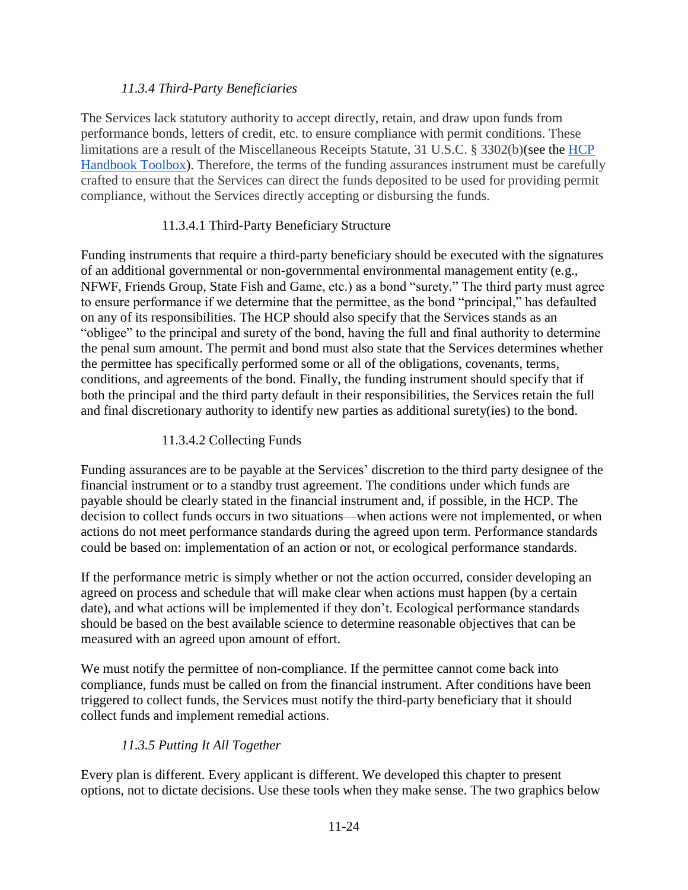### *11.3.4 Third-Party Beneficiaries*

The Services lack statutory authority to accept directly, retain, and draw upon funds from performance bonds, letters of credit, etc. to ensure compliance with permit conditions. These limitations are a result of the Miscellaneous Receipts Statute, 31 U.S.C. § 3302(b)(see the [HCP](https://www.fws.gov/endangered/what-we-do/hcp-handbook-toolbox.html#Ch11)  [Handbook Toolbox\)](https://www.fws.gov/endangered/what-we-do/hcp-handbook-toolbox.html#Ch11). Therefore, the terms of the funding assurances instrument must be carefully crafted to ensure that the Services can direct the funds deposited to be used for providing permit compliance, without the Services directly accepting or disbursing the funds.

# 11.3.4.1 Third-Party Beneficiary Structure

Funding instruments that require a third-party beneficiary should be executed with the signatures of an additional governmental or non-governmental environmental management entity (e.g., NFWF, Friends Group, State Fish and Game, etc.) as a bond "surety." The third party must agree to ensure performance if we determine that the permittee, as the bond "principal," has defaulted on any of its responsibilities. The HCP should also specify that the Services stands as an "obligee" to the principal and surety of the bond, having the full and final authority to determine the penal sum amount. The permit and bond must also state that the Services determines whether the permittee has specifically performed some or all of the obligations, covenants, terms, conditions, and agreements of the bond. Finally, the funding instrument should specify that if both the principal and the third party default in their responsibilities, the Services retain the full and final discretionary authority to identify new parties as additional surety(ies) to the bond.

# 11.3.4.2 Collecting Funds

Funding assurances are to be payable at the Services' discretion to the third party designee of the financial instrument or to a standby trust agreement. The conditions under which funds are payable should be clearly stated in the financial instrument and, if possible, in the HCP. The decision to collect funds occurs in two situations—when actions were not implemented, or when actions do not meet performance standards during the agreed upon term. Performance standards could be based on: implementation of an action or not, or ecological performance standards.

If the performance metric is simply whether or not the action occurred, consider developing an agreed on process and schedule that will make clear when actions must happen (by a certain date), and what actions will be implemented if they don't. Ecological performance standards should be based on the best available science to determine reasonable objectives that can be measured with an agreed upon amount of effort.

We must notify the permittee of non-compliance. If the permittee cannot come back into compliance, funds must be called on from the financial instrument. After conditions have been triggered to collect funds, the Services must notify the third-party beneficiary that it should collect funds and implement remedial actions.

# *11.3.5 Putting It All Together*

Every plan is different. Every applicant is different. We developed this chapter to present options, not to dictate decisions. Use these tools when they make sense. The two graphics below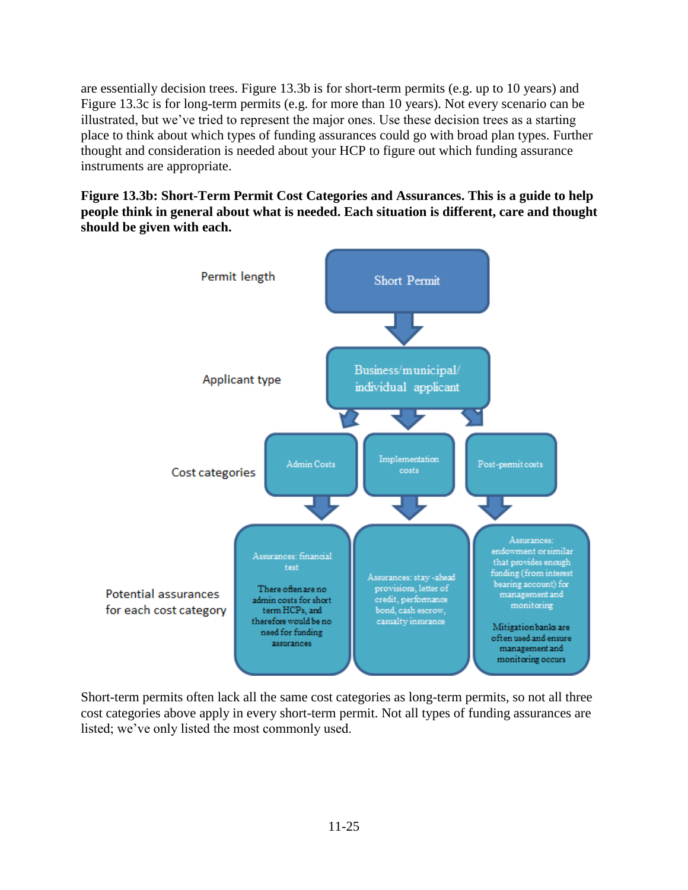are essentially decision trees. Figure 13.3b is for short-term permits (e.g. up to 10 years) and Figure 13.3c is for long-term permits (e.g. for more than 10 years). Not every scenario can be illustrated, but we've tried to represent the major ones. Use these decision trees as a starting place to think about which types of funding assurances could go with broad plan types. Further thought and consideration is needed about your HCP to figure out which funding assurance instruments are appropriate.

**Figure 13.3b: Short-Term Permit Cost Categories and Assurances. This is a guide to help people think in general about what is needed. Each situation is different, care and thought should be given with each.**



Short-term permits often lack all the same cost categories as long-term permits, so not all three cost categories above apply in every short-term permit. Not all types of funding assurances are listed; we've only listed the most commonly used.